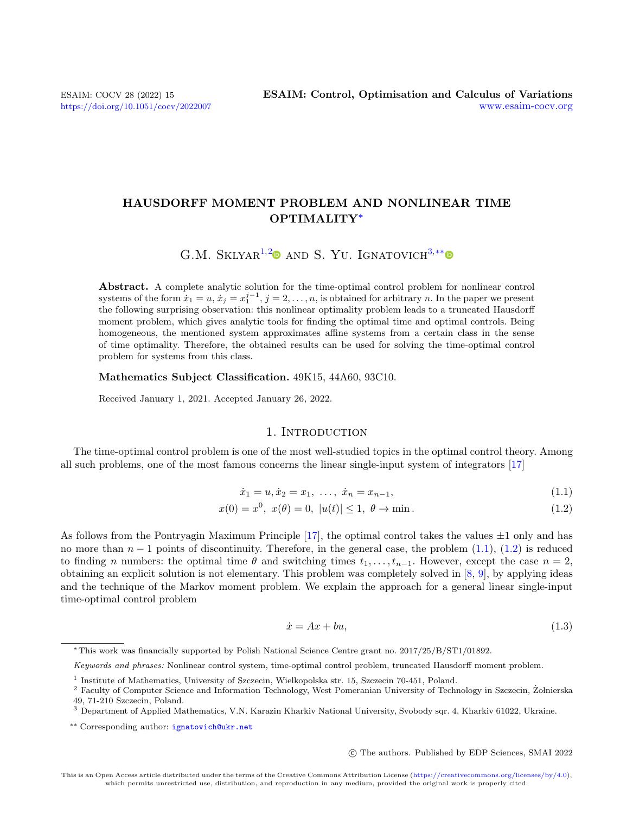# HAUSDORFF MOMENT PROBLEM AND NONLINEAR TIME OPTIMALITY<sup>∗</sup>

G.M. SKLYAR<sup>[1,](#page-0-0)[2](#page-0-1)</sup><sup>o</sup> AND S. YU. IGNATOVICH<sup>[3,](#page-0-2)[\\*\\*](#page-0-3)</sup><sup>o</sup>

Abstract. A complete analytic solution for the time-optimal control problem for nonlinear control systems of the form  $\dot{x}_1 = u, \dot{x}_j = x_1^{j-1}, j = 2, \ldots, n$ , is obtained for arbitrary n. In the paper we present the following surprising observation: this nonlinear optimality problem leads to a truncated Hausdorff moment problem, which gives analytic tools for finding the optimal time and optimal controls. Being homogeneous, the mentioned system approximates affine systems from a certain class in the sense of time optimality. Therefore, the obtained results can be used for solving the time-optimal control problem for systems from this class.

### Mathematics Subject Classification. 49K15, 44A60, 93C10.

Received January 1, 2021. Accepted January 26, 2022.

# <span id="page-0-4"></span>1. INTRODUCTION

The time-optimal control problem is one of the most well-studied topics in the optimal control theory. Among all such problems, one of the most famous concerns the linear single-input system of integrators [\[17\]](#page-25-0)

$$
\dot{x}_1 = u, \dot{x}_2 = x_1, \ \dots, \ \dot{x}_n = x_{n-1}, \tag{1.1}
$$

$$
x(0) = x^{0}, \ x(\theta) = 0, \ |u(t)| \le 1, \ \theta \to \min. \tag{1.2}
$$

As follows from the Pontryagin Maximum Principle [\[17\]](#page-25-0), the optimal control takes the values  $\pm 1$  only and has no more than  $n-1$  points of discontinuity. Therefore, in the general case, the problem  $(1.1)$ ,  $(1.2)$  is reduced to finding n numbers: the optimal time  $\theta$  and switching times  $t_1, \ldots, t_{n-1}$ . However, except the case  $n = 2$ , obtaining an explicit solution is not elementary. This problem was completely solved in [\[8,](#page-25-1) [9\]](#page-25-2), by applying ideas and the technique of the Markov moment problem. We explain the approach for a general linear single-input time-optimal control problem

<span id="page-0-5"></span>
$$
\dot{x} = Ax + bu,\tag{1.3}
$$

<span id="page-0-6"></span>c The authors. Published by EDP Sciences, SMAI 2022

<sup>∗</sup>This work was financially supported by Polish National Science Centre grant no. 2017/25/B/ST1/01892.

<span id="page-0-3"></span>Keywords and phrases: Nonlinear control system, time-optimal control problem, truncated Hausdorff moment problem.

<span id="page-0-0"></span><sup>&</sup>lt;sup>1</sup> Institute of Mathematics, University of Szczecin, Wielkopolska str. 15, Szczecin 70-451, Poland.

<span id="page-0-1"></span> $2$  Faculty of Computer Science and Information Technology, West Pomeranian University of Technology in Szczecin, Zolnierska 49, 71-210 Szczecin, Poland.

<span id="page-0-2"></span><sup>3</sup> Department of Applied Mathematics, V.N. Karazin Kharkiv National University, Svobody sqr. 4, Kharkiv 61022, Ukraine.

<sup>\*\*</sup> Corresponding author: [ignatovich@ukr.net](mailto:ignatovich@ukr.net)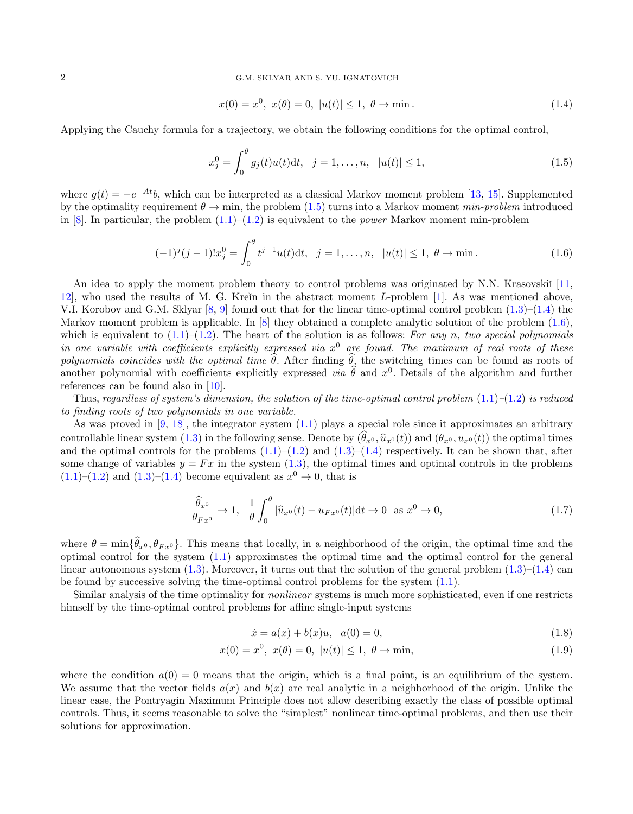### 2 G.M. SKLYAR AND S. YU. IGNATOVICH

<span id="page-1-1"></span>
$$
x(0) = x^{0}, \ x(\theta) = 0, \ |u(t)| \le 1, \ \theta \to \min. \tag{1.4}
$$

Applying the Cauchy formula for a trajectory, we obtain the following conditions for the optimal control,

<span id="page-1-0"></span>
$$
x_j^0 = \int_0^\theta g_j(t)u(t)dt, \quad j = 1, \dots, n, \quad |u(t)| \le 1,
$$
\n(1.5)

where  $g(t) = -e^{-At}b$ , which can be interpreted as a classical Markov moment problem [\[13,](#page-25-3) [15\]](#page-25-4). Supplemented by the optimality requirement  $\theta \to \min$ , the problem [\(1.5\)](#page-1-0) turns into a Markov moment min-problem introduced in [\[8\]](#page-25-1). In particular, the problem  $(1.1)$ – $(1.2)$  is equivalent to the *power* Markov moment min-problem

<span id="page-1-2"></span>
$$
(-1)^{j}(j-1)!x_{j}^{0} = \int_{0}^{\theta} t^{j-1}u(t)dt, \quad j = 1, \dots, n, \quad |u(t)| \le 1, \ \theta \to \min.
$$
 (1.6)

An idea to apply the moment problem theory to control problems was originated by N.N. Krasovskiı̆ [\[11,](#page-25-5) [12\]](#page-25-6), who used the results of M. G. Kreĭn in the abstract moment  $L$ -problem [\[1\]](#page-24-0). As was mentioned above, V.I. Korobov and G.M. Sklyar [\[8,](#page-25-1) [9\]](#page-25-2) found out that for the linear time-optimal control problem [\(1.3\)](#page-0-6)–[\(1.4\)](#page-1-1) the Markov moment problem is applicable. In [\[8\]](#page-25-1) they obtained a complete analytic solution of the problem [\(1.6\)](#page-1-2), which is equivalent to  $(1.1)$ – $(1.2)$ . The heart of the solution is as follows: For any n, two special polynomials in one variable with coefficients explicitly expressed via  $x^0$  are found. The maximum of real roots of these polynomials coincides with the optimal time  $\hat{\theta}$ . After finding  $\hat{\theta}$ , the switching times can be found as roots of another polynomial with coefficients explicitly expressed *via*  $\theta$  and  $x^0$ . Details of the algorithm and further references can be found also in [\[10\]](#page-25-7).

Thus, regardless of system's dimension, the solution of the time-optimal control problem  $(1.1)$ – $(1.2)$  is reduced to finding roots of two polynomials in one variable.

As was proved in  $[9, 18]$  $[9, 18]$  $[9, 18]$ , the integrator system  $(1.1)$  plays a special role since it approximates an arbitrary controllable linear system  $(1.3)$  in the following sense. Denote by  $(\theta_x, \hat{u}_{x0}(t))$  and  $(\theta_x, u_{x0}(t))$  the optimal times and the optimal controls for the problems  $(1.1)$ – $(1.2)$  and  $(1.3)$ – $(1.4)$  respectively. It can be shown that, after some change of variables  $y = Fx$  in the system [\(1.3\)](#page-0-6), the optimal times and optimal controls in the problems  $(1.1)$ – $(1.2)$  and  $(1.3)$ – $(1.4)$  become equivalent as  $x^0 \rightarrow 0$ , that is

<span id="page-1-4"></span>
$$
\frac{\widehat{\theta}_{x^0}}{\theta_{Fx^0}} \to 1, \quad \frac{1}{\theta} \int_0^{\theta} |\widehat{u}_{x^0}(t) - u_{Fx^0}(t)| \, \mathrm{d}t \to 0 \quad \text{as } x^0 \to 0,\tag{1.7}
$$

where  $\theta = \min{\lbrace \theta_{x^0}, \theta_{Fx^0} \rbrace}$ . This means that locally, in a neighborhood of the origin, the optimal time and the optimal control for the system  $(1.1)$  approximates the optimal time and the optimal control for the general linear autonomous system  $(1.3)$ . Moreover, it turns out that the solution of the general problem  $(1.3)$ – $(1.4)$  can be found by successive solving the time-optimal control problems for the system [\(1.1\)](#page-0-4).

Similar analysis of the time optimality for nonlinear systems is much more sophisticated, even if one restricts himself by the time-optimal control problems for affine single-input systems

<span id="page-1-5"></span><span id="page-1-3"></span>
$$
\dot{x} = a(x) + b(x)u, \quad a(0) = 0,\tag{1.8}
$$

$$
x(0) = x^{0}, \ x(\theta) = 0, \ |u(t)| \le 1, \ \theta \to \min,
$$
\n(1.9)

where the condition  $a(0) = 0$  means that the origin, which is a final point, is an equilibrium of the system. We assume that the vector fields  $a(x)$  and  $b(x)$  are real analytic in a neighborhood of the origin. Unlike the linear case, the Pontryagin Maximum Principle does not allow describing exactly the class of possible optimal controls. Thus, it seems reasonable to solve the "simplest" nonlinear time-optimal problems, and then use their solutions for approximation.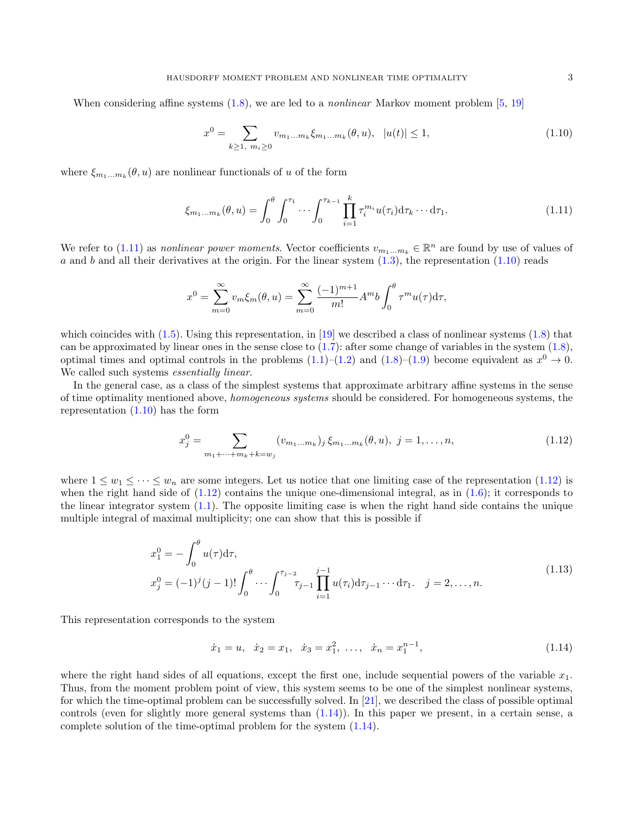When considering affine systems  $(1.8)$ , we are led to a *nonlinear* Markov moment problem  $[5, 19]$  $[5, 19]$  $[5, 19]$ 

<span id="page-2-1"></span>
$$
x^{0} = \sum_{k \ge 1, m_{i} \ge 0} v_{m_{1}...m_{k}} \xi_{m_{1}...m_{k}}(\theta, u), \quad |u(t)| \le 1,
$$
\n(1.10)

where  $\xi_{m_1...m_k}(\theta, u)$  are nonlinear functionals of u of the form

<span id="page-2-0"></span>
$$
\xi_{m_1...m_k}(\theta, u) = \int_0^{\theta} \int_0^{\tau_1} \cdots \int_0^{\tau_{k-1}} \prod_{i=1}^k \tau_i^{m_i} u(\tau_i) d\tau_k \cdots d\tau_1.
$$
\n(1.11)

We refer to  $(1.11)$  as *nonlinear power moments*. Vector coefficients  $v_{m_1...m_k} \in \mathbb{R}^n$  are found by use of values of a and b and all their derivatives at the origin. For the linear system  $(1.3)$ , the representation  $(1.10)$  reads

$$
x^{0} = \sum_{m=0}^{\infty} v_{m} \xi_{m}(\theta, u) = \sum_{m=0}^{\infty} \frac{(-1)^{m+1}}{m!} A^{m} b \int_{0}^{\theta} \tau^{m} u(\tau) d\tau,
$$

which coincides with  $(1.5)$ . Using this representation, in [\[19\]](#page-25-9) we described a class of nonlinear systems  $(1.8)$  that can be approximated by linear ones in the sense close to  $(1.7)$ : after some change of variables in the system  $(1.8)$ , optimal times and optimal controls in the problems  $(1.1)$ – $(1.2)$  and  $(1.8)$ – $(1.9)$  become equivalent as  $x^0 \rightarrow 0$ . We called such systems *essentially linear*.

In the general case, as a class of the simplest systems that approximate arbitrary affine systems in the sense of time optimality mentioned above, homogeneous systems should be considered. For homogeneous systems, the representation  $(1.10)$  has the form

<span id="page-2-2"></span>
$$
x_j^0 = \sum_{m_1 + \dots + m_k + k = w_j} (v_{m_1 \dots m_k})_j \xi_{m_1 \dots m_k}(\theta, u), \ j = 1, \dots, n,
$$
\n(1.12)

where  $1 \leq w_1 \leq \cdots \leq w_n$  are some integers. Let us notice that one limiting case of the representation [\(1.12\)](#page-2-2) is when the right hand side of  $(1.12)$  contains the unique one-dimensional integral, as in  $(1.6)$ ; it corresponds to the linear integrator system [\(1.1\)](#page-0-4). The opposite limiting case is when the right hand side contains the unique multiple integral of maximal multiplicity; one can show that this is possible if

$$
x_1^0 = -\int_0^\theta u(\tau) d\tau,
$$
  
\n
$$
x_j^0 = (-1)^j (j-1)! \int_0^\theta \cdots \int_0^{\tau_{j-2}} \prod_{i=1}^{j-1} u(\tau_i) d\tau_{j-1} \cdots d\tau_1. \quad j = 2, \dots, n.
$$
\n(1.13)

This representation corresponds to the system

<span id="page-2-3"></span>
$$
\dot{x}_1 = u, \quad \dot{x}_2 = x_1, \quad \dot{x}_3 = x_1^2, \quad \dots, \quad \dot{x}_n = x_1^{n-1}, \tag{1.14}
$$

where the right hand sides of all equations, except the first one, include sequential powers of the variable  $x_1$ . Thus, from the moment problem point of view, this system seems to be one of the simplest nonlinear systems, for which the time-optimal problem can be successfully solved. In [\[21\]](#page-25-10), we described the class of possible optimal controls (even for slightly more general systems than [\(1.14\)](#page-2-3)). In this paper we present, in a certain sense, a complete solution of the time-optimal problem for the system [\(1.14\)](#page-2-3).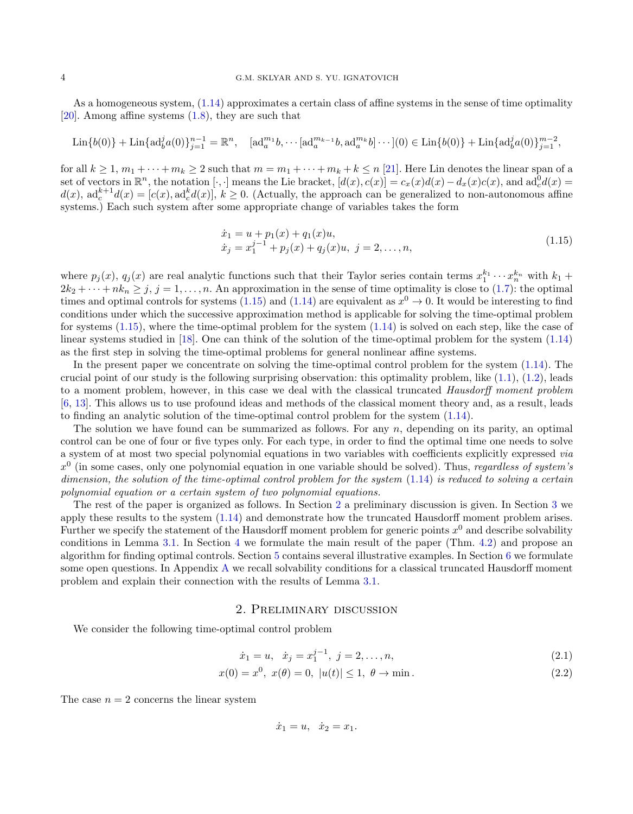As a homogeneous system, [\(1.14\)](#page-2-3) approximates a certain class of affine systems in the sense of time optimality  $[20]$ . Among affine systems  $(1.8)$ , they are such that

$$
\text{Lin}\{b(0)\} + \text{Lin}\{\text{ad}^{j}_{b}a(0)\}_{j=1}^{n-1} = \mathbb{R}^{n}, \quad [\text{ad}^{m_{1}}_{a}b, \dotsb, \text{ad}^{m_{k-1}}_{a}b, \text{ad}^{m_{k}}_{a}b] \dotsb](0) \in \text{Lin}\{b(0)\} + \text{Lin}\{\text{ad}^{j}_{b}a(0)\}_{j=1}^{m-2},
$$

for all  $k \ge 1$ ,  $m_1 + \cdots + m_k \ge 2$  such that  $m = m_1 + \cdots + m_k + k \le n$  [\[21\]](#page-25-10). Here Lin denotes the linear span of a set of vectors in  $\mathbb{R}^n$ , the notation [ $\cdot$ , ·] means the Lie bracket,  $[d(x), c(x)] = c_x(x)d(x) - d_x(x)c(x)$ , and  $ad_c^0 d(x) =$  $d(x)$ ,  $ad_c^{k+1}d(x) = [c(x), ad_c^k d(x)], k \ge 0$ . (Actually, the approach can be generalized to non-autonomous affine systems.) Each such system after some appropriate change of variables takes the form

<span id="page-3-0"></span>
$$
\begin{aligned} \dot{x}_1 &= u + p_1(x) + q_1(x)u, \\ \dot{x}_j &= x_1^{j-1} + p_j(x) + q_j(x)u, \ j = 2, \dots, n, \end{aligned} \tag{1.15}
$$

where  $p_j(x)$ ,  $q_j(x)$  are real analytic functions such that their Taylor series contain terms  $x_1^{k_1} \cdots x_n^{k_n}$  with  $k_1 +$  $2k_2 + \cdots + nk_n \geq j, j = 1, \ldots, n$ . An approximation in the sense of time optimality is close to [\(1.7\)](#page-1-4): the optimal times and optimal controls for systems  $(1.15)$  and  $(1.14)$  are equivalent as  $x^0 \to 0$ . It would be interesting to find conditions under which the successive approximation method is applicable for solving the time-optimal problem for systems  $(1.15)$ , where the time-optimal problem for the system  $(1.14)$  is solved on each step, like the case of linear systems studied in [\[18\]](#page-25-8). One can think of the solution of the time-optimal problem for the system [\(1.14\)](#page-2-3) as the first step in solving the time-optimal problems for general nonlinear affine systems.

In the present paper we concentrate on solving the time-optimal control problem for the system [\(1.14\)](#page-2-3). The crucial point of our study is the following surprising observation: this optimality problem, like  $(1.1)$ ,  $(1.2)$ , leads to a moment problem, however, in this case we deal with the classical truncated Hausdorff moment problem [\[6,](#page-25-12) [13\]](#page-25-3). This allows us to use profound ideas and methods of the classical moment theory and, as a result, leads to finding an analytic solution of the time-optimal control problem for the system [\(1.14\)](#page-2-3).

The solution we have found can be summarized as follows. For any  $n$ , depending on its parity, an optimal control can be one of four or five types only. For each type, in order to find the optimal time one needs to solve a system of at most two special polynomial equations in two variables with coefficients explicitly expressed via  $x^0$  (in some cases, only one polynomial equation in one variable should be solved). Thus, regardless of system's dimension, the solution of the time-optimal control problem for the system [\(1.14\)](#page-2-3) is reduced to solving a certain polynomial equation or a certain system of two polynomial equations.

The rest of the paper is organized as follows. In Section [2](#page-3-1) a preliminary discussion is given. In Section [3](#page-6-0) we apply these results to the system [\(1.14\)](#page-2-3) and demonstrate how the truncated Hausdorff moment problem arises. Further we specify the statement of the Hausdorff moment problem for generic points  $x^0$  and describe solvability conditions in Lemma [3.1.](#page-9-0) In Section [4](#page-14-0) we formulate the main result of the paper (Thm. [4.2\)](#page-18-0) and propose an algorithm for finding optimal controls. Section [5](#page-18-1) contains several illustrative examples. In Section [6](#page-22-0) we formulate some open questions. In Appendix [A](#page-23-0) we recall solvability conditions for a classical truncated Hausdorff moment problem and explain their connection with the results of Lemma [3.1.](#page-9-0)

### 2. Preliminary discussion

<span id="page-3-1"></span>We consider the following time-optimal control problem

$$
\dot{x}_1 = u, \quad \dot{x}_j = x_1^{j-1}, \quad j = 2, \dots, n,\tag{2.1}
$$

$$
x(0) = x^{0}, \ x(\theta) = 0, \ |u(t)| \le 1, \ \theta \to \min. \tag{2.2}
$$

The case  $n = 2$  concerns the linear system

<span id="page-3-3"></span><span id="page-3-2"></span> $\dot{x}_1 = u, \quad \dot{x}_2 = x_1.$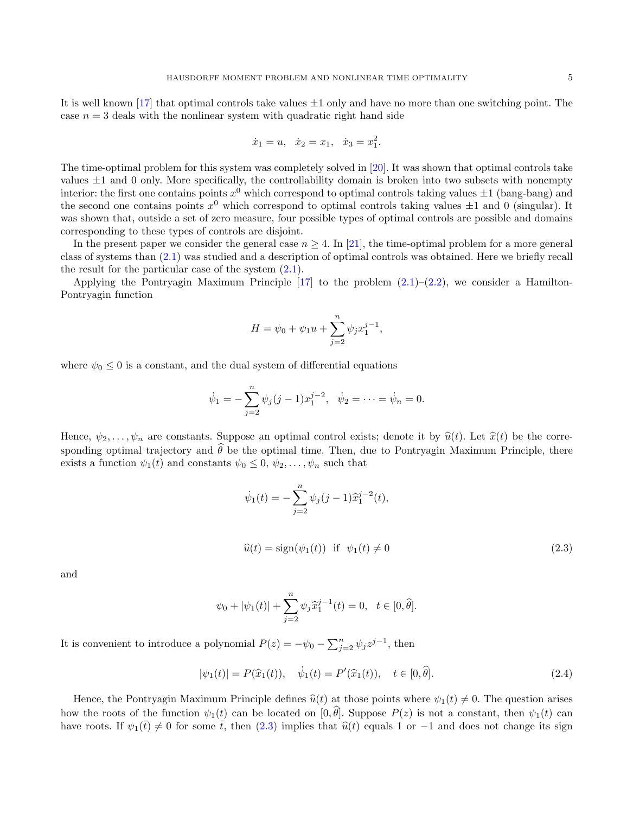It is well known  $\left[17\right]$  that optimal controls take values  $\pm 1$  only and have no more than one switching point. The case  $n = 3$  deals with the nonlinear system with quadratic right hand side

$$
\dot{x}_1 = u, \quad \dot{x}_2 = x_1, \quad \dot{x}_3 = x_1^2.
$$

The time-optimal problem for this system was completely solved in [\[20\]](#page-25-11). It was shown that optimal controls take values  $\pm 1$  and 0 only. More specifically, the controllability domain is broken into two subsets with nonempty interior: the first one contains points  $x^0$  which correspond to optimal controls taking values  $\pm 1$  (bang-bang) and the second one contains points  $x^0$  which correspond to optimal controls taking values  $\pm 1$  and 0 (singular). It was shown that, outside a set of zero measure, four possible types of optimal controls are possible and domains corresponding to these types of controls are disjoint.

In the present paper we consider the general case  $n \geq 4$ . In [\[21\]](#page-25-10), the time-optimal problem for a more general class of systems than [\(2.1\)](#page-3-2) was studied and a description of optimal controls was obtained. Here we briefly recall the result for the particular case of the system [\(2.1\)](#page-3-2).

Applying the Pontryagin Maximum Principle  $[17]$  to the problem  $(2.1)$ – $(2.2)$ , we consider a Hamilton-Pontryagin function

$$
H = \psi_0 + \psi_1 u + \sum_{j=2}^n \psi_j x_1^{j-1},
$$

where  $\psi_0 \leq 0$  is a constant, and the dual system of differential equations

$$
\dot{\psi}_1 = -\sum_{j=2}^n \psi_j (j-1) x_1^{j-2}, \quad \dot{\psi}_2 = \dots = \dot{\psi}_n = 0.
$$

Hence,  $\psi_2, \ldots, \psi_n$  are constants. Suppose an optimal control exists; denote it by  $\hat{u}(t)$ . Let  $\hat{x}(t)$  be the corresponding optimal trajectory and  $\hat{\theta}$  be the optimal time. Then, due to Pontryagin Maximum Principle, there exists a function  $\psi_1(t)$  and constants  $\psi_0 \leq 0, \psi_2, \dots, \psi_n$  such that

<span id="page-4-0"></span>
$$
\dot{\psi}_1(t) = -\sum_{j=2}^n \psi_j(j-1)\hat{x}_1^{j-2}(t),
$$
  

$$
\hat{u}(t) = \text{sign}(\psi_1(t)) \text{ if } \psi_1(t) \neq 0
$$
\n(2.3)

and

$$
\psi_0 + |\psi_1(t)| + \sum_{j=2}^n \psi_j \hat{x}_1^{j-1}(t) = 0, \quad t \in [0, \hat{\theta}].
$$

It is convenient to introduce a polynomial  $P(z) = -\psi_0 - \sum_{j=2}^n \psi_j z^{j-1}$ , then

<span id="page-4-1"></span>
$$
|\psi_1(t)| = P(\hat{x}_1(t)), \quad \dot{\psi}_1(t) = P'(\hat{x}_1(t)), \quad t \in [0, \hat{\theta}]. \tag{2.4}
$$

Hence, the Pontryagin Maximum Principle defines  $\hat{u}(t)$  at those points where  $\psi_1(t) \neq 0$ . The question arises how the roots of the function  $\psi_1(t)$  can be located on [0,  $\theta$ ]. Suppose  $P(z)$  is not a constant, then  $\psi_1(t)$  can have roots. If  $\psi_1(\bar{t}) \neq 0$  for some  $\bar{t}$ , then [\(2.3\)](#page-4-0) implies that  $\hat{u}(t)$  equals 1 or −1 and does not change its sign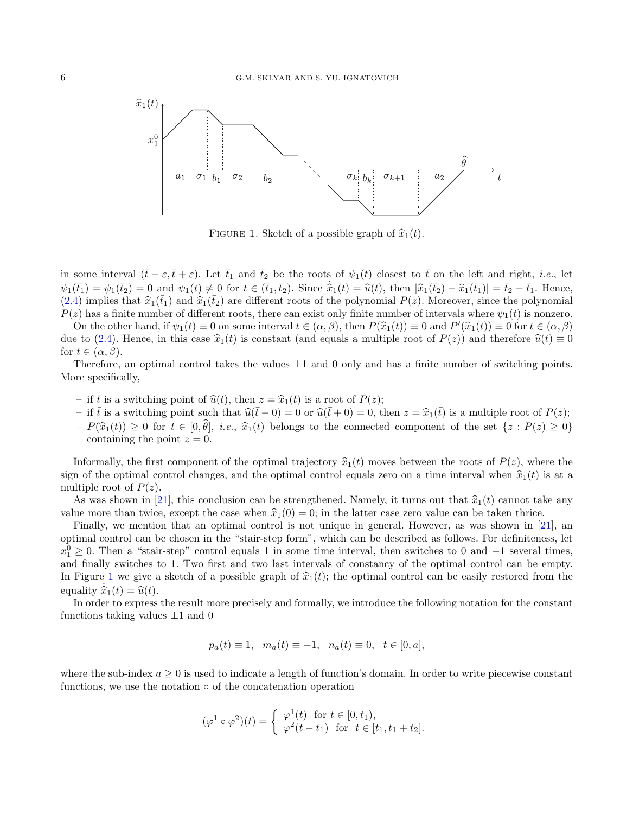

<span id="page-5-0"></span>FIGURE 1. Sketch of a possible graph of  $\hat{x}_1(t)$ .

in some interval  $(\bar{t}-\varepsilon,\bar{t}+\varepsilon)$ . Let  $\bar{t}_1$  and  $\bar{t}_2$  be the roots of  $\psi_1(t)$  closest to  $\bar{t}$  on the left and right, *i.e.*, let  $\psi_1(\bar{t}_1) = \psi_1(\bar{t}_2) = 0$  and  $\psi_1(t) \neq 0$  for  $t \in (\bar{t}_1, \bar{t}_2)$ . Since  $\hat{x}_1(t) = \hat{u}(t)$ , then  $|\hat{x}_1(\bar{t}_2) - \hat{x}_1(\bar{t}_1)| = \bar{t}_2 - \bar{t}_1$ . Hence, [\(2.4\)](#page-4-1) implies that  $\hat{x}_1(\bar{t}_1)$  and  $\hat{x}_1(\bar{t}_2)$  are different roots of the polynomial  $P(z)$ . Moreover, since the polynomial  $P(z)$  has a finite number of different roots, there can exist only finite number of intervals where  $\psi_1(t)$  is nonzero.

On the other hand, if  $\psi_1(t) \equiv 0$  on some interval  $t \in (\alpha, \beta)$ , then  $P(\hat{x}_1(t)) \equiv 0$  and  $P'(\hat{x}_1(t)) \equiv 0$  for  $t \in (\alpha, \beta)$ <br>e to (2.4). Hence in this case  $\hat{x}_1(t)$  is constant (and equals a multiple root of  $P(x)$ ) and there due to [\(2.4\)](#page-4-1). Hence, in this case  $\hat{x}_1(t)$  is constant (and equals a multiple root of  $P(z)$ ) and therefore  $\hat{u}(t) \equiv 0$ for  $t \in (\alpha, \beta)$ .

Therefore, an optimal control takes the values  $\pm 1$  and 0 only and has a finite number of switching points. More specifically,

- if  $\bar{t}$  is a switching point of  $\hat{u}(t)$ , then  $z = \hat{x}_1(\bar{t})$  is a root of  $P(z)$ ;
- if  $\bar{t}$  is a switching point such that  $\hat{u}(\bar{t}-0) = 0$  or  $\hat{u}(\bar{t}+0) = 0$ , then  $z = \hat{x}_1(\bar{t})$  is a multiple root of  $P(z)$ ;
- $-P(\hat{x}_1(t)) > 0$  for  $t \in [0, \hat{\theta}],$  i.e.,  $\hat{x}_1(t)$  belongs to the connected component of the set  $\{z : P(z) \geq 0\}$ containing the point  $z = 0$ .

Informally, the first component of the optimal trajectory  $\hat{x}_1(t)$  moves between the roots of  $P(z)$ , where the sign of the optimal control changes, and the optimal control equals zero on a time interval when  $\hat{x}_1(t)$  is at a multiple root of  $P(z)$ .

As was shown in [\[21\]](#page-25-10), this conclusion can be strengthened. Namely, it turns out that  $\hat{x}_1(t)$  cannot take any value more than twice, except the case when  $\hat{x}_1(0) = 0$ ; in the latter case zero value can be taken thrice.

Finally, we mention that an optimal control is not unique in general. However, as was shown in [\[21\]](#page-25-10), an optimal control can be chosen in the "stair-step form", which can be described as follows. For definiteness, let  $x_1^0 \geq 0$ . Then a "stair-step" control equals 1 in some time interval, then switches to 0 and -1 several times, and finally switches to 1. Two first and two last intervals of constancy of the optimal control can be empty. In Figure [1](#page-5-0) we give a sketch of a possible graph of  $\hat{x}_1(t)$ ; the optimal control can be easily restored from the equality  $\hat{x}_1(t) = \hat{u}(t)$ .

In order to express the result more precisely and formally, we introduce the following notation for the constant functions taking values  $\pm 1$  and 0

$$
p_a(t) \equiv 1, \quad m_a(t) \equiv -1, \quad n_a(t) \equiv 0, \quad t \in [0, a],
$$

where the sub-index  $a \geq 0$  is used to indicate a length of function's domain. In order to write piecewise constant functions, we use the notation  $\circ$  of the concatenation operation

$$
(\varphi^1 \circ \varphi^2)(t) = \begin{cases} \varphi^1(t) & \text{for } t \in [0, t_1), \\ \varphi^2(t - t_1) & \text{for } t \in [t_1, t_1 + t_2]. \end{cases}
$$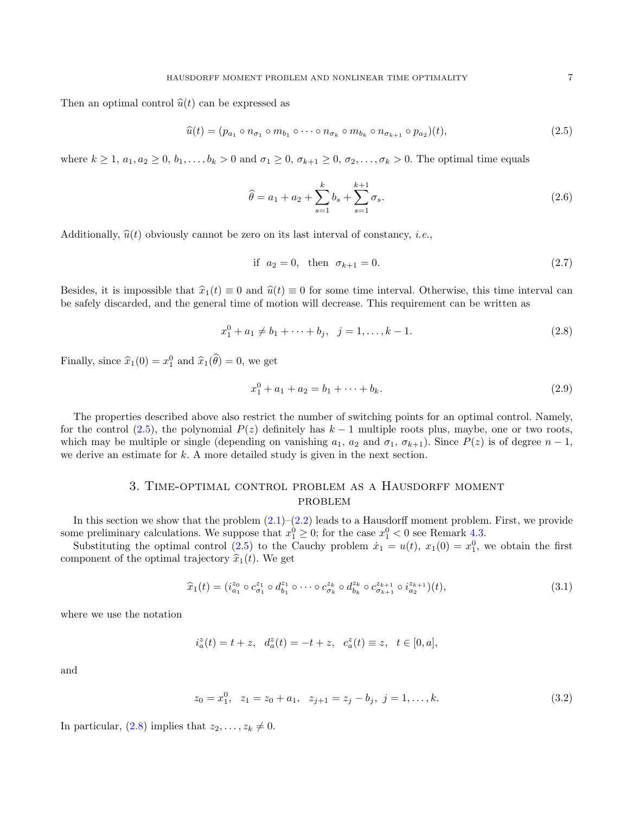Then an optimal control  $\hat{u}(t)$  can be expressed as

<span id="page-6-1"></span>
$$
\widehat{u}(t) = (p_{a_1} \circ n_{\sigma_1} \circ m_{b_1} \circ \cdots \circ n_{\sigma_k} \circ m_{b_k} \circ n_{\sigma_{k+1}} \circ p_{a_2})(t), \tag{2.5}
$$

where  $k \geq 1$ ,  $a_1, a_2 \geq 0$ ,  $b_1, \ldots, b_k > 0$  and  $\sigma_1 \geq 0$ ,  $\sigma_{k+1} \geq 0$ ,  $\sigma_2, \ldots, \sigma_k > 0$ . The optimal time equals

<span id="page-6-6"></span>
$$
\widehat{\theta} = a_1 + a_2 + \sum_{s=1}^{k} b_s + \sum_{s=1}^{k+1} \sigma_s.
$$
\n(2.6)

Additionally,  $\hat{u}(t)$  obviously cannot be zero on its last interval of constancy, *i.e.*,

<span id="page-6-7"></span>if 
$$
a_2 = 0
$$
, then  $\sigma_{k+1} = 0$ . (2.7)

Besides, it is impossible that  $\hat{x}_1(t) \equiv 0$  and  $\hat{u}(t) \equiv 0$  for some time interval. Otherwise, this time interval can be safely discarded, and the general time of motion will decrease. This requirement can be written as

<span id="page-6-2"></span>
$$
x_1^0 + a_1 \neq b_1 + \dots + b_j, \quad j = 1, \dots, k - 1. \tag{2.8}
$$

Finally, since  $\hat{x}_1(0) = x_1^0$  and  $\hat{x}_1(\theta) = 0$ , we get

<span id="page-6-5"></span>
$$
x_1^0 + a_1 + a_2 = b_1 + \dots + b_k. \tag{2.9}
$$

The properties described above also restrict the number of switching points for an optimal control. Namely, for the control [\(2.5\)](#page-6-1), the polynomial  $P(z)$  definitely has  $k-1$  multiple roots plus, maybe, one or two roots, which may be multiple or single (depending on vanishing  $a_1$ ,  $a_2$  and  $\sigma_1$ ,  $\sigma_{k+1}$ ). Since  $P(z)$  is of degree  $n-1$ , we derive an estimate for k. A more detailed study is given in the next section.

# 3. Time-optimal control problem as a Hausdorff moment **PROBLEM**

<span id="page-6-0"></span>In this section we show that the problem  $(2.1)$ – $(2.2)$  leads to a Hausdorff moment problem. First, we provide some preliminary calculations. We suppose that  $x_1^0 \geq 0$ ; for the case  $x_1^0 < 0$  see Remark [4.3.](#page-18-2)

Substituting the optimal control [\(2.5\)](#page-6-1) to the Cauchy problem  $\dot{x}_1 = u(t)$ ,  $x_1(0) = x_1^0$ , we obtain the first component of the optimal trajectory  $\hat{x}_1(t)$ . We get

<span id="page-6-3"></span>
$$
\widehat{x}_1(t) = (i_{a_1}^{z_0} \circ c_{\sigma_1}^{z_1} \circ d_{b_1}^{z_1} \circ \cdots \circ c_{\sigma_k}^{z_k} \circ d_{b_k}^{z_k} \circ c_{\sigma_{k+1}}^{z_{k+1}} \circ i_{a_2}^{z_{k+1}})(t),
$$
\n(3.1)

where we use the notation

$$
i_a^z(t)=t+z,\ \ d_a^z(t)=-t+z,\ \ c_a^z(t)\equiv z,\ \ t\in[0,a],
$$

and

<span id="page-6-4"></span>
$$
z_0 = x_1^0, \quad z_1 = z_0 + a_1, \quad z_{j+1} = z_j - b_j, \quad j = 1, \dots, k. \tag{3.2}
$$

In particular, [\(2.8\)](#page-6-2) implies that  $z_2, \ldots, z_k \neq 0$ .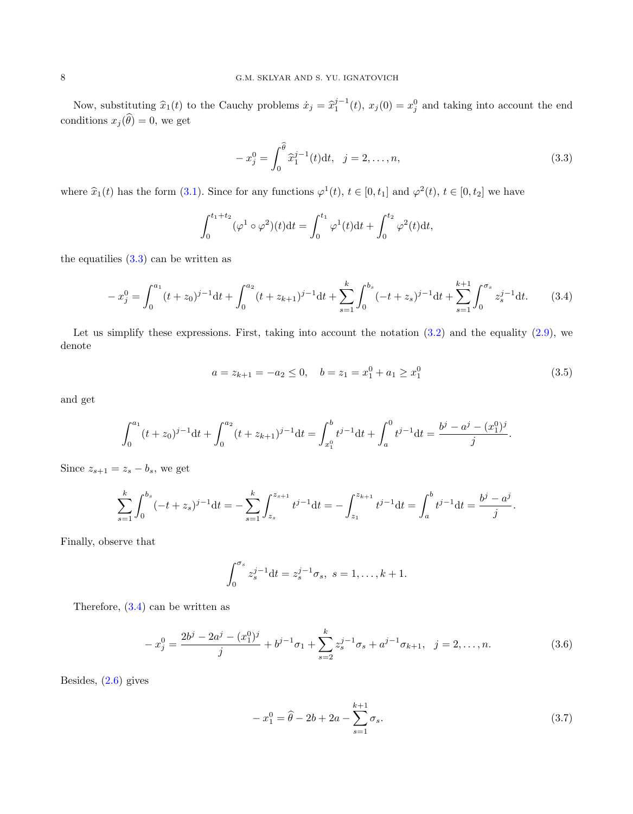Now, substituting  $\hat{x}_1(t)$  to the Cauchy problems  $\dot{x}_j = \hat{x}_1^{j-1}(t)$ ,  $x_j(0) = x_j^0$  and taking into account the end conditions  $x_j(\widehat{\theta}) = 0$ , we get

<span id="page-7-0"></span>
$$
-x_j^0 = \int_0^{\widehat{\theta}} \widehat{x}_1^{j-1}(t) dt, \quad j = 2, \dots, n,
$$
\n(3.3)

where  $\hat{x}_1(t)$  has the form [\(3.1\)](#page-6-3). Since for any functions  $\varphi^1(t)$ ,  $t \in [0, t_1]$  and  $\varphi^2(t)$ ,  $t \in [0, t_2]$  we have

$$
\int_0^{t_1+t_2} (\varphi^1 \circ \varphi^2)(t) dt = \int_0^{t_1} \varphi^1(t) dt + \int_0^{t_2} \varphi^2(t) dt,
$$

the equatilies  $(3.3)$  can be written as

<span id="page-7-1"></span>
$$
-x_j^0 = \int_0^{a_1} (t+z_0)^{j-1} dt + \int_0^{a_2} (t+z_{k+1})^{j-1} dt + \sum_{s=1}^k \int_0^{b_s} (-t+z_s)^{j-1} dt + \sum_{s=1}^{k+1} \int_0^{\sigma_s} z_s^{j-1} dt.
$$
 (3.4)

Let us simplify these expressions. First, taking into account the notation  $(3.2)$  and the equality  $(2.9)$ , we denote

<span id="page-7-4"></span>
$$
a = z_{k+1} = -a_2 \le 0, \quad b = z_1 = x_1^0 + a_1 \ge x_1^0 \tag{3.5}
$$

and get

$$
\int_0^{a_1} (t+z_0)^{j-1} dt + \int_0^{a_2} (t+z_{k+1})^{j-1} dt = \int_{x_1^0}^b t^{j-1} dt + \int_a^0 t^{j-1} dt = \frac{b^j - a^j - (x_1^0)^j}{j}.
$$

Since  $z_{s+1} = z_s - b_s$ , we get

$$
\sum_{s=1}^k \int_0^{b_s} (-t+z_s)^{j-1} dt = -\sum_{s=1}^k \int_{z_s}^{z_{s+1}} t^{j-1} dt = -\int_{z_1}^{z_{k+1}} t^{j-1} dt = \int_a^b t^{j-1} dt = \frac{b^j - a^j}{j}.
$$

Finally, observe that

$$
\int_0^{\sigma_s} z_s^{j-1} \mathrm{d}t = z_s^{j-1} \sigma_s, \ s = 1, \dots, k+1.
$$

Therefore, [\(3.4\)](#page-7-1) can be written as

<span id="page-7-2"></span> $\mathbf{r}$ 

$$
x_j^0 = \frac{2b^j - 2a^j - (x_1^0)^j}{j} + b^{j-1}\sigma_1 + \sum_{s=2}^k z_s^{j-1}\sigma_s + a^{j-1}\sigma_{k+1}, \quad j = 2, \dots, n. \tag{3.6}
$$

Besides, [\(2.6\)](#page-6-6) gives

<span id="page-7-3"></span>
$$
-x_1^0 = \hat{\theta} - 2b + 2a - \sum_{s=1}^{k+1} \sigma_s.
$$
\n(3.7)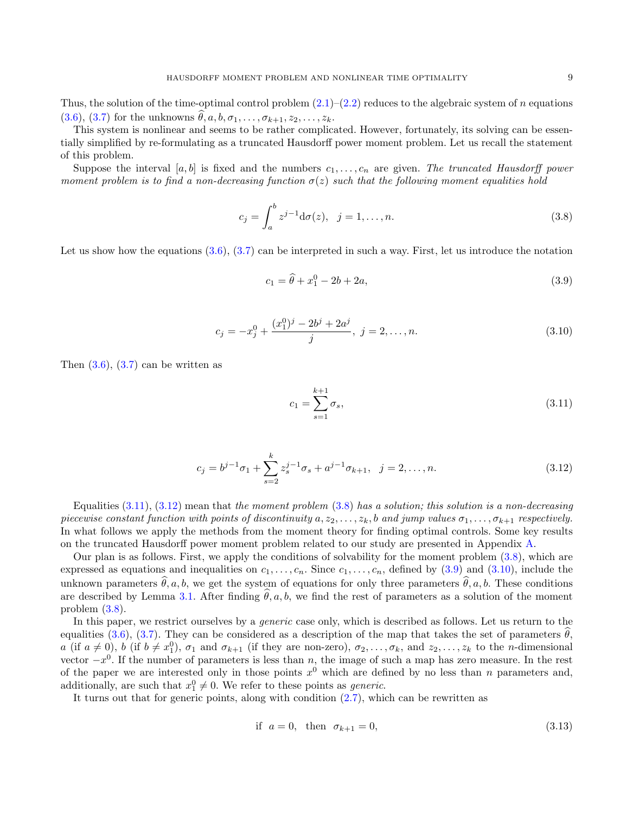Thus, the solution of the time-optimal control problem  $(2.1)$ – $(2.2)$  reduces to the algebraic system of n equations [\(3.6\)](#page-7-2), [\(3.7\)](#page-7-3) for the unknowns  $\hat{\theta}, a, b, \sigma_1, \ldots, \sigma_{k+1}, z_2, \ldots, z_k$ .

This system is nonlinear and seems to be rather complicated. However, fortunately, its solving can be essentially simplified by re-formulating as a truncated Hausdorff power moment problem. Let us recall the statement of this problem.

Suppose the interval [a, b] is fixed and the numbers  $c_1, \ldots, c_n$  are given. The truncated Hausdorff power moment problem is to find a non-decreasing function  $\sigma(z)$  such that the following moment equalities hold

<span id="page-8-2"></span>
$$
c_j = \int_a^b z^{j-1} d\sigma(z), \ \ j = 1, \dots, n. \tag{3.8}
$$

Let us show how the equations  $(3.6), (3.7)$  $(3.6), (3.7)$  $(3.6), (3.7)$  can be interpreted in such a way. First, let us introduce the notation

<span id="page-8-3"></span>
$$
c_1 = \hat{\theta} + x_1^0 - 2b + 2a,\tag{3.9}
$$

<span id="page-8-4"></span>
$$
c_j = -x_j^0 + \frac{(x_1^0)^j - 2b^j + 2a^j}{j}, \ j = 2, \dots, n. \tag{3.10}
$$

Then  $(3.6)$ ,  $(3.7)$  can be written as

<span id="page-8-0"></span>
$$
c_1 = \sum_{s=1}^{k+1} \sigma_s,\tag{3.11}
$$

<span id="page-8-1"></span>
$$
c_j = b^{j-1}\sigma_1 + \sum_{s=2}^{k} z_s^{j-1}\sigma_s + a^{j-1}\sigma_{k+1}, \quad j = 2, \dots, n. \tag{3.12}
$$

Equalities  $(3.11)$ ,  $(3.12)$  mean that the moment problem  $(3.8)$  has a solution; this solution is a non-decreasing piecewise constant function with points of discontinuity  $a, z_2, \ldots, z_k$ , b and jump values  $\sigma_1, \ldots, \sigma_{k+1}$  respectively. In what follows we apply the methods from the moment theory for finding optimal controls. Some key results on the truncated Hausdorff power moment problem related to our study are presented in Appendix [A.](#page-23-0)

Our plan is as follows. First, we apply the conditions of solvability for the moment problem [\(3.8\)](#page-8-2), which are expressed as equations and inequalities on  $c_1, \ldots, c_n$ . Since  $c_1, \ldots, c_n$ , defined by [\(3.9\)](#page-8-3) and [\(3.10\)](#page-8-4), include the unknown parameters  $\hat{\theta}$ , a, b, we get the system of equations for only three parameters  $\hat{\theta}$ , a, b. These conditions are described by Lemma [3.1.](#page-9-0) After finding  $\hat{\theta}$ , a, b, we find the rest of parameters as a solution of the moment problem [\(3.8\)](#page-8-2).

In this paper, we restrict ourselves by a *generic* case only, which is described as follows. Let us return to the equalities [\(3.6\)](#page-7-2), [\(3.7\)](#page-7-3). They can be considered as a description of the map that takes the set of parameters  $\theta$ , a (if  $a \neq 0$ ), b (if  $b \neq x_1^0$ ),  $\sigma_1$  and  $\sigma_{k+1}$  (if they are non-zero),  $\sigma_2, \ldots, \sigma_k$ , and  $z_2, \ldots, z_k$  to the *n*-dimensional vector  $-x^0$ . If the number of parameters is less than n, the image of such a map has zero measure. In the rest of the paper we are interested only in those points  $x^0$  which are defined by no less than n parameters and, additionally, are such that  $x_1^0 \neq 0$ . We refer to these points as *generic*.

It turns out that for generic points, along with condition [\(2.7\)](#page-6-7), which can be rewritten as

<span id="page-8-5"></span>if 
$$
a = 0
$$
, then  $\sigma_{k+1} = 0$ ,  $(3.13)$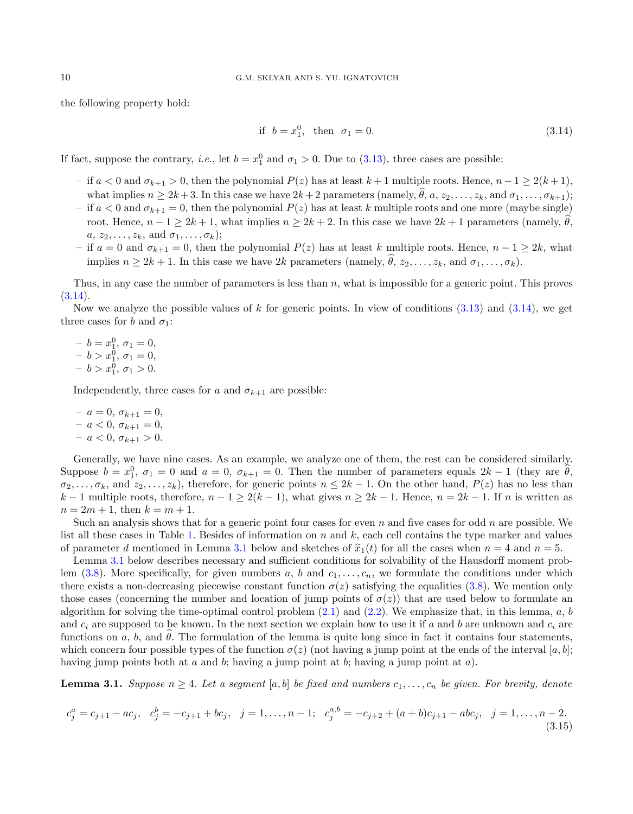the following property hold:

<span id="page-9-1"></span>if 
$$
b = x_1^0
$$
, then  $\sigma_1 = 0$ . (3.14)

If fact, suppose the contrary, *i.e.*, let  $b = x_1^0$  and  $\sigma_1 > 0$ . Due to [\(3.13\)](#page-8-5), three cases are possible:

- if  $a < 0$  and  $\sigma_{k+1} > 0$ , then the polynomial  $P(z)$  has at least  $k+1$  multiple roots. Hence,  $n-1 \geq 2(k+1)$ , what implies  $n \geq 2k+3$ . In this case we have  $2k+2$  parameters (namely,  $\hat{\theta}$ ,  $a, z_2, \ldots, z_k$ , and  $\sigma_1, \ldots, \sigma_{k+1}$ );
- if  $a < 0$  and  $\sigma_{k+1} = 0$ , then the polynomial  $P(z)$  has at least k multiple roots and one more (maybe single) root. Hence,  $n-1 \geq 2k+1$ , what implies  $n \geq 2k+2$ . In this case we have  $2k+1$  parameters (namely,  $\theta$ ,  $a, z_2, \ldots, z_k$ , and  $\sigma_1, \ldots, \sigma_k$ ;
- if  $a = 0$  and  $\sigma_{k+1} = 0$ , then the polynomial  $P(z)$  has at least k multiple roots. Hence,  $n 1 \geq 2k$ , what implies  $n \geq 2k + 1$ . In this case we have  $2k$  parameters (namely,  $\hat{\theta}$ ,  $z_2, \ldots, z_k$ , and  $\sigma_1, \ldots, \sigma_k$ ).

Thus, in any case the number of parameters is less than  $n$ , what is impossible for a generic point. This proves  $(3.14).$  $(3.14).$ 

Now we analyze the possible values of k for generic points. In view of conditions  $(3.13)$  and  $(3.14)$ , we get three cases for b and  $\sigma_1$ :

 $-b = x_1^0, \sigma_1 = 0,$  $- b > x_1^0, \sigma_1 = 0,$  $- b > x_1^0, \sigma_1 > 0.$ 

Independently, three cases for a and  $\sigma_{k+1}$  are possible:

 $-a = 0, \sigma_{k+1} = 0,$  $-a < 0, \sigma_{k+1} = 0,$  $- a < 0, \sigma_{k+1} > 0.$ 

Generally, we have nine cases. As an example, we analyze one of them, the rest can be considered similarly. Suppose  $b = x_1^0$ ,  $\sigma_1 = 0$  and  $a = 0$ ,  $\sigma_{k+1} = 0$ . Then the number of parameters equals  $2k - 1$  (they are  $\hat{\theta}$ ,  $\sigma_2, \ldots, \sigma_k$ , and  $z_2, \ldots, z_k$ , therefore, for generic points  $n \leq 2k-1$ . On the other hand,  $P(z)$  has no less than k − 1 multiple roots, therefore,  $n-1 \geq 2(k-1)$ , what gives  $n \geq 2k-1$ . Hence,  $n = 2k-1$ . If n is written as  $n = 2m + 1$ , then  $k = m + 1$ .

Such an analysis shows that for a generic point four cases for even n and five cases for odd n are possible. We list all these cases in Table [1.](#page-10-0) Besides of information on  $n$  and  $k$ , each cell contains the type marker and values of parameter d mentioned in Lemma [3.1](#page-9-0) below and sketches of  $\hat{x}_1(t)$  for all the cases when  $n = 4$  and  $n = 5$ .

Lemma [3.1](#page-9-0) below describes necessary and sufficient conditions for solvability of the Hausdorff moment prob-lem [\(3.8\)](#page-8-2). More specifically, for given numbers a, b and  $c_1, \ldots, c_n$ , we formulate the conditions under which there exists a non-decreasing piecewise constant function  $\sigma(z)$  satisfying the equalities [\(3.8\)](#page-8-2). We mention only those cases (concerning the number and location of jump points of  $\sigma(z)$ ) that are used below to formulate an algorithm for solving the time-optimal control problem  $(2.1)$  and  $(2.2)$ . We emphasize that, in this lemma, a, b and  $c_i$  are supposed to be known. In the next section we explain how to use it if a and b are unknown and  $c_i$  are functions on a, b, and  $\hat{\theta}$ . The formulation of the lemma is quite long since in fact it contains four statements, which concern four possible types of the function  $\sigma(z)$  (not having a jump point at the ends of the interval [a, b]; having jump points both at a and b; having a jump point at b; having a jump point at a).

<span id="page-9-0"></span>**Lemma 3.1.** Suppose  $n \geq 4$ . Let a segment [a, b] be fixed and numbers  $c_1, \ldots, c_n$  be given. For brevity, denote

<span id="page-9-2"></span>
$$
c_j^a = c_{j+1} - ac_j, \quad c_j^b = -c_{j+1} + bc_j, \quad j = 1, \dots, n-1; \quad c_j^{a,b} = -c_{j+2} + (a+b)c_{j+1} - abc_j, \quad j = 1, \dots, n-2.
$$
\n(3.15)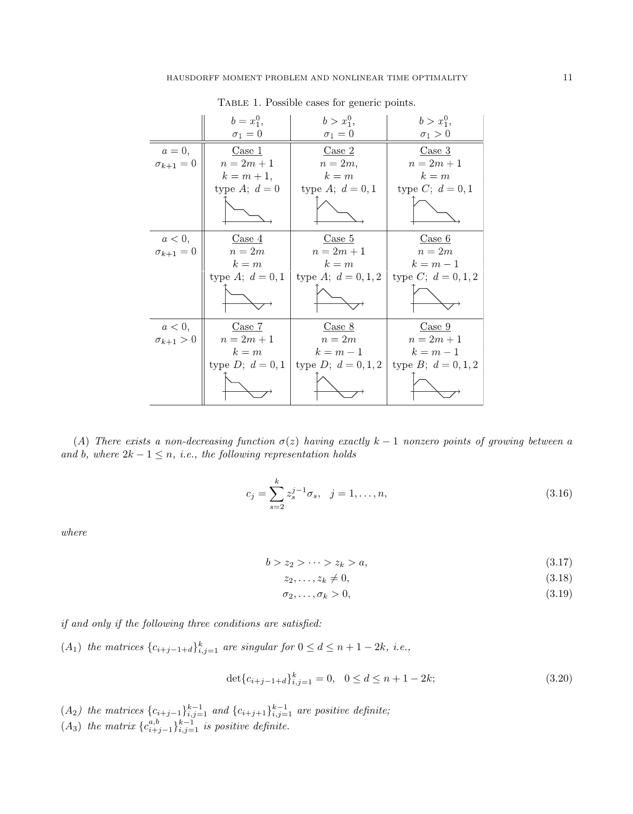|                    | $b = x_1^0,$       | $b > x_1^0$ ,         | $b > x_1^0$ ,              |
|--------------------|--------------------|-----------------------|----------------------------|
|                    | $\sigma_1=0$       | $\sigma_1=0$          | $\sigma_1>0$               |
| $a=0,$             | Case 1             | Case 2                | Case 3                     |
| $\sigma_{k+1}=0$   | $n = 2m + 1$       | $n=2m,$               | $n = 2m + 1$               |
|                    | $k = m + 1$ ,      | $k = m$               | $k = m$                    |
|                    | type A; $d=0$      | type A; $d = 0, 1$    | type <i>C</i> ; $d = 0, 1$ |
|                    |                    |                       |                            |
| $a < 0$ ,          | Case 4             | Case 5                | Case 6                     |
| $\sigma_{k+1}=0$   | $n=2m$             | $n = 2m + 1$          | $n=2m$                     |
|                    | $k = m$            | $k = m$               | $k = m - 1$                |
|                    | type A; $d = 0, 1$ | type A; $d = 0, 1, 2$ | type C; $d = 0, 1, 2$      |
|                    |                    |                       |                            |
| a<0,               | Case 7             | Case 8                | Case 9                     |
| $\sigma_{k+1} > 0$ | $n = 2m + 1$       | $n=2m$                | $n = 2m + 1$               |
|                    | $k = m$            | $k = m - 1$           | $k = m - 1$                |
|                    | type $D; d = 0, 1$ | type D; $d = 0, 1, 2$ | type B; $d = 0, 1, 2$      |
|                    |                    |                       |                            |

<span id="page-10-0"></span>Table 1. Possible cases for generic points.

(A) There exists a non-decreasing function  $\sigma(z)$  having exactly k – 1 nonzero points of growing between a and b, where  $2k - 1 \leq n$ , i.e., the following representation holds

<span id="page-10-1"></span>
$$
c_j = \sum_{s=2}^{k} z_s^{j-1} \sigma_s, \quad j = 1, \dots, n,
$$
\n(3.16)

where

$$
b > z_2 > \cdots > z_k > a,\tag{3.17}
$$

<span id="page-10-4"></span><span id="page-10-3"></span><span id="page-10-2"></span>
$$
z_2, \ldots, z_k \neq 0,\tag{3.18}
$$

$$
\sigma_2, \ldots, \sigma_k > 0,\tag{3.19}
$$

if and only if the following three conditions are satisfied:

 $(A_1)$  the matrices  ${c_{i+j-1+d}}_{i,j=1}^k$  are singular for  $0 \leq d \leq n+1-2k$ , i.e.,

<span id="page-10-5"></span>
$$
\det\{c_{i+j-1+d}\}_{i,j=1}^k = 0, \quad 0 \le d \le n+1-2k; \tag{3.20}
$$

- $(A_2)$  the matrices  ${c_{i+j-1}}_{i,j=1}^{k-1}$  and  ${c_{i+j+1}}_{i,j=1}^{k-1}$  are positive definite;
- $(A_3)$  the matrix  ${c_{i+j-1}^{a,b}}_{i,j=1}^{k-1}$  is positive definite.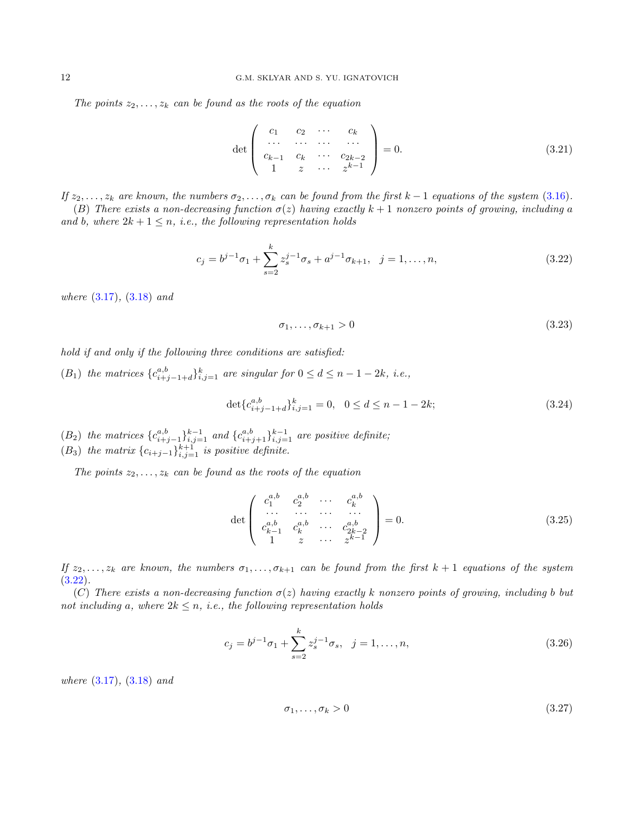The points  $z_2, \ldots, z_k$  can be found as the roots of the equation

<span id="page-11-2"></span>
$$
\det \left( \begin{array}{cccc} c_1 & c_2 & \cdots & c_k \\ \cdots & \cdots & \cdots & \cdots \\ c_{k-1} & c_k & \cdots & c_{2k-2} \\ 1 & z & \cdots & z^{k-1} \end{array} \right) = 0.
$$
 (3.21)

If  $z_2, \ldots, z_k$  are known, the numbers  $\sigma_2, \ldots, \sigma_k$  can be found from the first k – 1 equations of the system [\(3.16\)](#page-10-1). (B) There exists a non-decreasing function  $\sigma(z)$  having exactly  $k+1$  nonzero points of growing, including a and b, where  $2k + 1 \leq n$ , *i.e.*, the following representation holds

<span id="page-11-0"></span>
$$
c_j = b^{j-1}\sigma_1 + \sum_{s=2}^k z_s^{j-1}\sigma_s + a^{j-1}\sigma_{k+1}, \quad j = 1, \dots, n,
$$
\n(3.22)

where [\(3.17\)](#page-10-2), [\(3.18\)](#page-10-3) and

$$
\sigma_1, \dots, \sigma_{k+1} > 0 \tag{3.23}
$$

hold if and only if the following three conditions are satisfied:

 $(B_1)$  the matrices  ${c_{i+j-1+d}^{a,b}}_{i,j=1}^k$  are singular for  $0 \le d \le n-1-2k$ , i.e.,

$$
\det \{c_{i+j-1+d}^{a,b}\}_{i,j=1}^k = 0, \quad 0 \le d \le n-1-2k; \tag{3.24}
$$

 $(B_2)$  the matrices  ${c_{i+j-1}^{a,b}}_{i,j=1}^{k-1}$  and  ${c_{i+j+1}^{a,b}}_{i,j=1}^{k-1}$  are positive definite;

 $(B_3)$  the matrix  ${c_{i+j-1}}_{i,j=1}^{k+1}$  is positive definite.

The points  $z_2, \ldots, z_k$  can be found as the roots of the equation

<span id="page-11-3"></span>
$$
\det \begin{pmatrix} c_1^{a,b} & c_2^{a,b} & \cdots & c_k^{a,b} \\ \cdots & \cdots & \cdots & \cdots \\ c_{k-1}^{a,b} & c_k^{a,b} & \cdots & c_{2k-2}^{a,b} \\ 1 & z & \cdots & z^{k-1} \end{pmatrix} = 0.
$$
 (3.25)

If  $z_2, \ldots, z_k$  are known, the numbers  $\sigma_1, \ldots, \sigma_{k+1}$  can be found from the first  $k+1$  equations of the system  $(3.22)$ .

(C) There exists a non-decreasing function  $\sigma(z)$  having exactly k nonzero points of growing, including b but not including a, where  $2k \leq n$ , i.e., the following representation holds

<span id="page-11-1"></span>
$$
c_j = b^{j-1}\sigma_1 + \sum_{s=2}^{k} z_s^{j-1}\sigma_s, \quad j = 1, \dots, n,
$$
\n(3.26)

where [\(3.17\)](#page-10-2), [\(3.18\)](#page-10-3) and

$$
\sigma_1, \ldots, \sigma_k > 0 \tag{3.27}
$$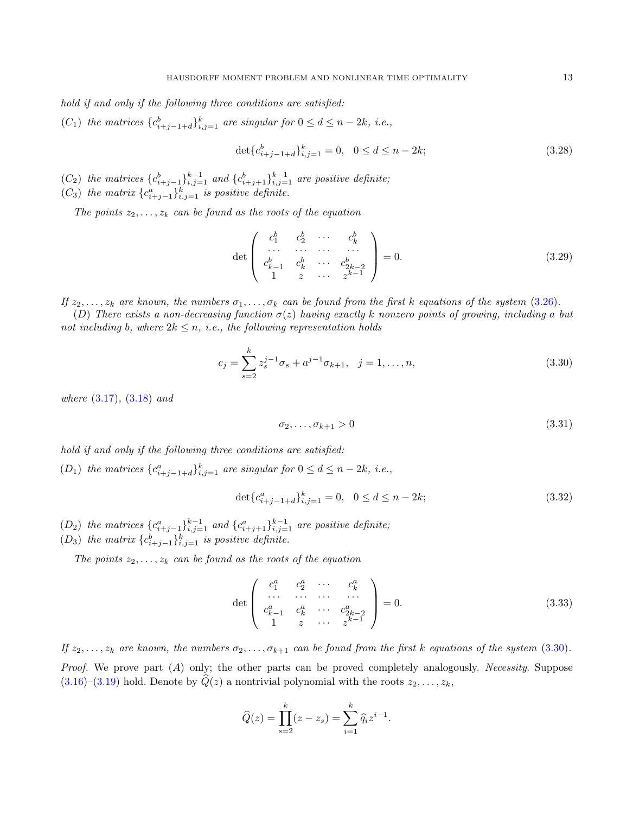hold if and only if the following three conditions are satisfied:

(C<sub>1</sub>) the matrices  ${c_{i+j-1+d}^b}_{i,j=1}^k$  are singular for  $0 \le d \le n-2k$ , i.e.,

<span id="page-12-1"></span>
$$
\det \{c_{i+j-1+d}^b\}_{i,j=1}^k = 0, \quad 0 \le d \le n-2k; \tag{3.28}
$$

 $(C_2)$  the matrices  ${c_{i+j-1}^b}_{i,j=1}^{k-1}$  and  ${c_{i+j+1}^b}_{i,j=1}^{k-1}$  are positive definite;  $(C_3)$  the matrix  $\{c_{i+j-1}^a\}_{i,j=1}^k$  is positive definite.

The points  $z_2, \ldots, z_k$  can be found as the roots of the equation

<span id="page-12-2"></span>
$$
\det \begin{pmatrix} c_1^b & c_2^b & \cdots & c_k^b \\ \cdots & \cdots & \cdots & \cdots \\ c_{k-1}^b & c_k^b & \cdots & c_{2k-2}^b \\ 1 & z & \cdots & z^{k-1} \end{pmatrix} = 0.
$$
 (3.29)

If  $z_2, \ldots, z_k$  are known, the numbers  $\sigma_1, \ldots, \sigma_k$  can be found from the first k equations of the system [\(3.26\)](#page-11-1).

(D) There exists a non-decreasing function  $\sigma(z)$  having exactly k nonzero points of growing, including a but not including b, where  $2k \leq n$ , i.e., the following representation holds

<span id="page-12-0"></span>
$$
c_j = \sum_{s=2}^{k} z_s^{j-1} \sigma_s + a^{j-1} \sigma_{k+1}, \quad j = 1, \dots, n,
$$
\n(3.30)

where [\(3.17\)](#page-10-2), [\(3.18\)](#page-10-3) and

$$
\sigma_2, \dots, \sigma_{k+1} > 0 \tag{3.31}
$$

hold if and only if the following three conditions are satisfied:

 $(D_1)$  the matrices  ${c_{i+j-1+d}^a}_{i,j=1}^k$  are singular for  $0 \le d \le n-2k$ , i.e.,

$$
\det \{c_{i+j-1+d}^a\}_{i,j=1}^k = 0, \quad 0 \le d \le n-2k; \tag{3.32}
$$

- $(D_2)$  the matrices  ${c_{i+j-1}^a}_{i,j=1}^{k-1}$  and  ${c_{i+j+1}^a}_{i,j=1}^{k-1}$  are positive definite;
- $(D_3)$  the matrix  ${c_{i+j-1}^b}_{i,j=1}^k$  is positive definite.

The points  $z_2, \ldots, z_k$  can be found as the roots of the equation

<span id="page-12-3"></span>
$$
\det \left( \begin{array}{cccc} c_1^a & c_2^a & \cdots & c_k^a \\ \cdots & \cdots & \cdots & \cdots \\ c_{k-1}^a & c_k^a & \cdots & c_{2k-2}^a \\ 1 & z & \cdots & z^{k-1} \end{array} \right) = 0.
$$
 (3.33)

If  $z_2, \ldots, z_k$  are known, the numbers  $\sigma_2, \ldots, \sigma_{k+1}$  can be found from the first k equations of the system [\(3.30\)](#page-12-0). *Proof.* We prove part  $(A)$  only; the other parts can be proved completely analogously. Necessity. Suppose  $(3.16)$ – $(3.19)$  hold. Denote by  $\ddot{Q}(z)$  a nontrivial polynomial with the roots  $z_2, \ldots, z_k$ ,

$$
\widehat{Q}(z) = \prod_{s=2}^{k} (z - z_s) = \sum_{i=1}^{k} \widehat{q}_i z^{i-1}.
$$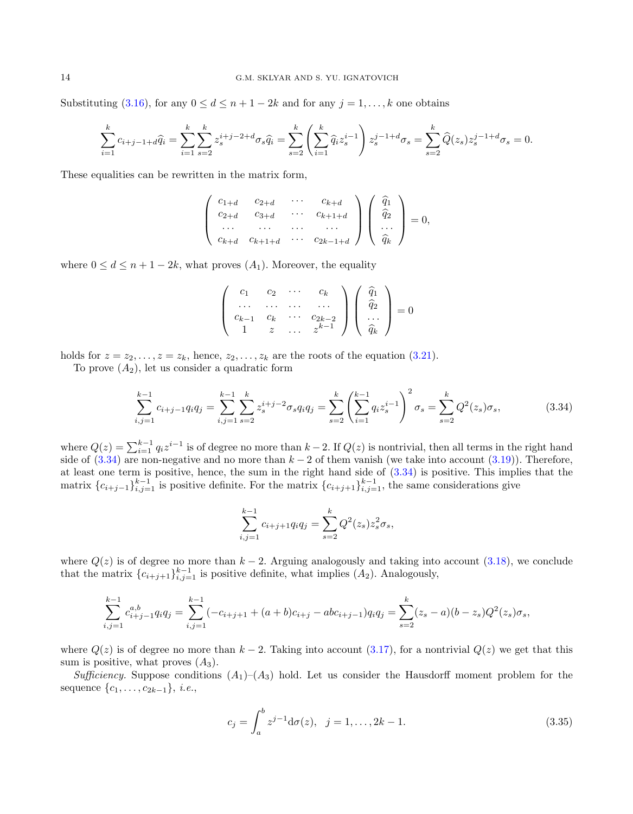Substituting [\(3.16\)](#page-10-1), for any  $0 \le d \le n+1-2k$  and for any  $j = 1, \ldots, k$  one obtains

$$
\sum_{i=1}^k c_{i+j-1+d} \widehat{q}_i = \sum_{i=1}^k \sum_{s=2}^k z_s^{i+j-2+d} \sigma_s \widehat{q}_i = \sum_{s=2}^k \left( \sum_{i=1}^k \widehat{q}_i z_s^{i-1} \right) z_s^{j-1+d} \sigma_s = \sum_{s=2}^k \widehat{Q}(z_s) z_s^{j-1+d} \sigma_s = 0.
$$

These equalities can be rewritten in the matrix form,

$$
\begin{pmatrix} c_{1+d} & c_{2+d} & \cdots & c_{k+d} \\ c_{2+d} & c_{3+d} & \cdots & c_{k+1+d} \\ \cdots & \cdots & \cdots & \cdots \\ c_{k+d} & c_{k+1+d} & \cdots & c_{2k-1+d} \end{pmatrix} \begin{pmatrix} \widehat{q}_1 \\ \widehat{q}_2 \\ \cdots \\ \widehat{q}_k \end{pmatrix} = 0,
$$

where  $0 \leq d \leq n+1-2k$ , what proves  $(A_1)$ . Moreover, the equality

$$
\left(\begin{array}{cccc}c_1 & c_2 & \cdots & c_k\\ \cdots & \cdots & \cdots & \cdots\\ c_{k-1} & c_k & \cdots & c_{2k-2}\\ 1 & z & \cdots & z^{k-1}\end{array}\right)\left(\begin{array}{c}\widehat{q}_1\\ \widehat{q}_2\\ \cdots\\ \widehat{q}_k\end{array}\right)=0
$$

holds for  $z = z_2, \ldots, z = z_k$ , hence,  $z_2, \ldots, z_k$  are the roots of the equation [\(3.21\)](#page-11-2).

To prove  $(A_2)$ , let us consider a quadratic form

<span id="page-13-0"></span>
$$
\sum_{i,j=1}^{k-1} c_{i+j-1} q_i q_j = \sum_{i,j=1}^{k-1} \sum_{s=2}^k z_s^{i+j-2} \sigma_s q_i q_j = \sum_{s=2}^k \left( \sum_{i=1}^{k-1} q_i z_s^{i-1} \right)^2 \sigma_s = \sum_{s=2}^k Q^2(z_s) \sigma_s,
$$
(3.34)

where  $Q(z) = \sum_{i=1}^{k-1} q_i z^{i-1}$  is of degree no more than  $k-2$ . If  $Q(z)$  is nontrivial, then all terms in the right hand side of  $(3.34)$  are non-negative and no more than  $k - 2$  of them vanish (we take into account  $(3.19)$ ). Therefore, at least one term is positive, hence, the sum in the right hand side of [\(3.34\)](#page-13-0) is positive. This implies that the matrix  ${c_{i+j-1}}_{i,j=1}^{k-1}$  is positive definite. For the matrix  ${c_{i+j+1}}_{i,j=1}^{k-1}$ , the same considerations give

$$
\sum_{i,j=1}^{k-1} c_{i+j+1} q_i q_j = \sum_{s=2}^{k} Q^2(z_s) z_s^2 \sigma_s,
$$

where  $Q(z)$  is of degree no more than  $k-2$ . Arguing analogously and taking into account [\(3.18\)](#page-10-3), we conclude that the matrix  ${c_{i+j+1}}_{i,j=1}^{k-1}$  is positive definite, what implies  $(A_2)$ . Analogously,

$$
\sum_{i,j=1}^{k-1} c_{i+j-1}^{a,b} q_i q_j = \sum_{i,j=1}^{k-1} (-c_{i+j+1} + (a+b)c_{i+j} - abc_{i+j-1}) q_i q_j = \sum_{s=2}^{k} (z_s - a)(b - z_s) Q^2(z_s) \sigma_s,
$$

where  $Q(z)$  is of degree no more than  $k-2$ . Taking into account [\(3.17\)](#page-10-2), for a nontrivial  $Q(z)$  we get that this sum is positive, what proves  $(A_3)$ .

Sufficiency. Suppose conditions  $(A_1)$ – $(A_3)$  hold. Let us consider the Hausdorff moment problem for the sequence  $\{c_1, \ldots, c_{2k-1}\}, i.e.,$ 

<span id="page-13-1"></span>
$$
c_j = \int_a^b z^{j-1} d\sigma(z), \quad j = 1, \dots, 2k - 1.
$$
 (3.35)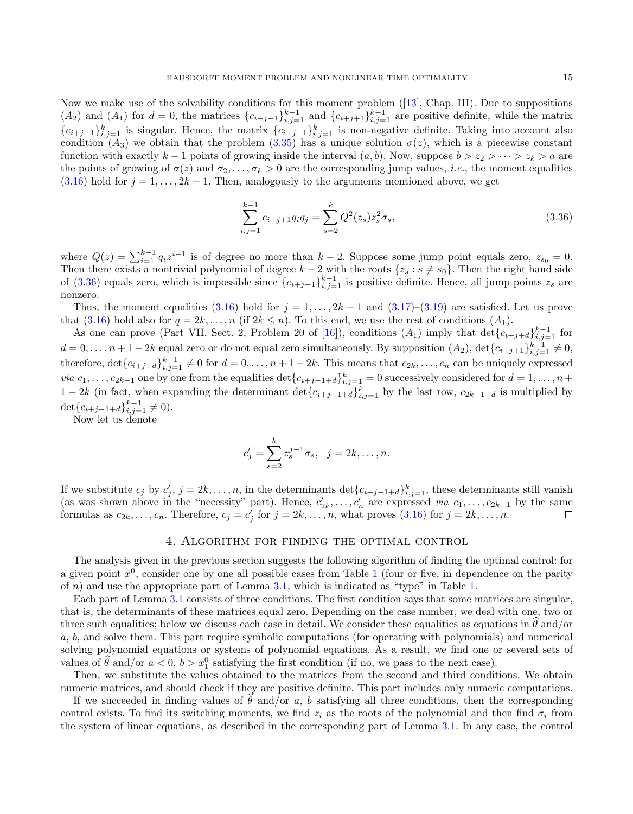Now we make use of the solvability conditions for this moment problem ([\[13\]](#page-25-3), Chap. III). Due to suppositions  $(A_2)$  and  $(A_1)$  for  $d = 0$ , the matrices  $\{c_{i+j-1}\}_{i,j=1}^{k-1}$  and  $\{c_{i+j+1}\}_{i,j=1}^{k-1}$  are positive definite, while the matrix  ${c_{i+j-1}}_{i,j=1}^k$  is singular. Hence, the matrix  ${c_{i+j-1}}_{i,j=1}^k$  is non-negative definite. Taking into account also condition  $(A_3)$  we obtain that the problem [\(3.35\)](#page-13-1) has a unique solution  $\sigma(z)$ , which is a piecewise constant function with exactly k – 1 points of growing inside the interval  $(a, b)$ . Now, suppose  $b > z_2 > \cdots > z_k > a$  are the points of growing of  $\sigma(z)$  and  $\sigma_2, \ldots, \sigma_k > 0$  are the corresponding jump values, *i.e.*, the moment equalities  $(3.16)$  hold for  $j = 1, \ldots, 2k - 1$ . Then, analogously to the arguments mentioned above, we get

<span id="page-14-1"></span>
$$
\sum_{i,j=1}^{k-1} c_{i+j+1} q_i q_j = \sum_{s=2}^{k} Q^2(z_s) z_s^2 \sigma_s,
$$
\n(3.36)

where  $Q(z) = \sum_{i=1}^{k-1} q_i z^{i-1}$  is of degree no more than  $k-2$ . Suppose some jump point equals zero,  $z_{s_0} = 0$ . Then there exists a nontrivial polynomial of degree  $k-2$  with the roots  $\{z_s : s \neq s_0\}$ . Then the right hand side of [\(3.36\)](#page-14-1) equals zero, which is impossible since  ${c_{i+j+1}}_{i,j=1}^{k-1}$  is positive definite. Hence, all jump points  $z_s$  are nonzero.

Thus, the moment equalities [\(3.16\)](#page-10-1) hold for  $j = 1, \ldots, 2k - 1$  and [\(3.17\)](#page-10-2)–[\(3.19\)](#page-10-4) are satisfied. Let us prove that [\(3.16\)](#page-10-1) hold also for  $q = 2k, ..., n$  (if  $2k \leq n$ ). To this end, we use the rest of conditions  $(A_1)$ .

As one can prove (Part VII, Sect. 2, Problem 20 of [\[16\]](#page-25-13)), conditions  $(A_1)$  imply that  $\det\{c_{i+j+d}\}_{i,j=1}^{k-1}$  for  $d = 0, \ldots, n + 1 - 2k$  equal zero or do not equal zero simultaneously. By supposition  $(A_2)$ ,  $\det\{c_{i+j+1}\}_{i,j=1}^{k-1} \neq 0$ , therefore,  $\det\{c_{i+j+d}\}_{i,j=1}^{k-1} \neq 0$  for  $d = 0, \ldots, n+1-2k$ . This means that  $c_{2k}, \ldots, c_n$  can be uniquely expressed *via*  $c_1, \ldots, c_{2k-1}$  one by one from the equalities det $\{c_{i+j-1+d}\}_{i,j=1}^k = 0$  successively considered for  $d = 1, \ldots, n+k$  $1-2k$  (in fact, when expanding the determinant det ${c_{i+j-1+d}}_{i,j=1}^k$  by the last row,  $c_{2k-1+d}$  is multiplied by det ${c_{i+j-1+d}}_{i,j=1}^{k-1} \neq 0$ ).

Now let us denote

$$
c'_j = \sum_{s=2}^k z_s^{j-1} \sigma_s, \ \ j = 2k, \dots, n.
$$

If we substitute  $c_j$  by  $c'_j$ ,  $j = 2k, \ldots, n$ , in the determinants det $\{c_{i+j-1+d}\}_{i,j=1}^k$ , these determinants still vanish (as was shown above in the "necessity" part). Hence,  $c'_{2k}, \ldots, c'_{n}$  are expressed *via*  $c_1, \ldots, c_{2k-1}$  by the same formulas as  $c_{2k}, \ldots, c_n$ . Therefore,  $c_j = c'_j$  for  $j = 2k, \ldots, n$ , what proves  $(3.16)$  for  $j = 2k, \ldots, n$ .  $\Box$ 

# 4. Algorithm for finding the optimal control

<span id="page-14-0"></span>The analysis given in the previous section suggests the following algorithm of finding the optimal control: for a given point  $x^0$ , consider one by one all possible cases from Table [1](#page-10-0) (four or five, in dependence on the parity of  $n$ ) and use the appropriate part of Lemma [3.1,](#page-9-0) which is indicated as "type" in Table [1.](#page-10-0)

Each part of Lemma [3.1](#page-9-0) consists of three conditions. The first condition says that some matrices are singular, that is, the determinants of these matrices equal zero. Depending on the case number, we deal with one, two or three such equalities; below we discuss each case in detail. We consider these equalities as equations in  $\hat{\theta}$  and/or a, b, and solve them. This part require symbolic computations (for operating with polynomials) and numerical solving polynomial equations or systems of polynomial equations. As a result, we find one or several sets of values of  $\hat{\theta}$  and/or  $a < 0$ ,  $b > x_1^0$  satisfying the first condition (if no, we pass to the next case).

Then, we substitute the values obtained to the matrices from the second and third conditions. We obtain numeric matrices, and should check if they are positive definite. This part includes only numeric computations.

If we succeeded in finding values of  $\hat{\theta}$  and/or a, b satisfying all three conditions, then the corresponding control exists. To find its switching moments, we find  $z_i$  as the roots of the polynomial and then find  $\sigma_i$  from the system of linear equations, as described in the corresponding part of Lemma [3.1.](#page-9-0) In any case, the control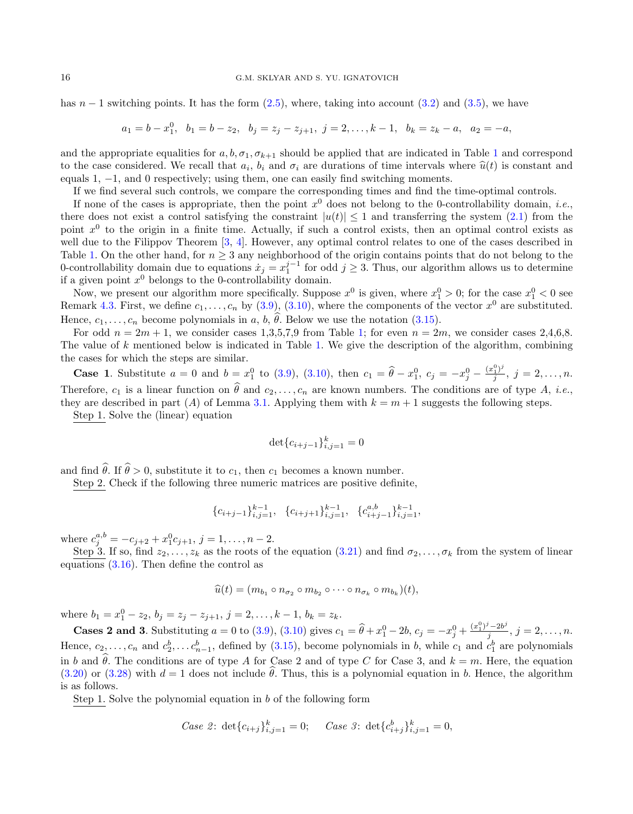has  $n-1$  switching points. It has the form  $(2.5)$ , where, taking into account  $(3.2)$  and  $(3.5)$ , we have

$$
a_1 = b - x_1^0, \quad b_1 = b - z_2, \quad b_j = z_j - z_{j+1}, \quad j = 2, \dots, k-1, \quad b_k = z_k - a, \quad a_2 = -a,
$$

and the appropriate equalities for  $a, b, \sigma_1, \sigma_{k+1}$  $a, b, \sigma_1, \sigma_{k+1}$  $a, b, \sigma_1, \sigma_{k+1}$  should be applied that are indicated in Table 1 and correspond to the case considered. We recall that  $a_i$ ,  $b_i$  and  $\sigma_i$  are durations of time intervals where  $\hat{u}(t)$  is constant and<br>equals 1 -1 and 0 respectively; using them one can easily find switching moments equals 1, −1, and 0 respectively; using them, one can easily find switching moments.

If we find several such controls, we compare the corresponding times and find the time-optimal controls.

If none of the cases is appropriate, then the point  $x^0$  does not belong to the 0-controllability domain, *i.e.*, there does not exist a control satisfying the constraint  $|u(t)| \leq 1$  and transferring the system [\(2.1\)](#page-3-2) from the point  $x^0$  to the origin in a finite time. Actually, if such a control exists, then an optimal control exists as well due to the Filippov Theorem [\[3,](#page-24-2) [4\]](#page-24-3). However, any optimal control relates to one of the cases described in Table [1.](#page-10-0) On the other hand, for  $n \geq 3$  any neighborhood of the origin contains points that do not belong to the 0-controllability domain due to equations  $\dot{x}_j = x_1^{j-1}$  for odd  $j \geq 3$ . Thus, our algorithm allows us to determine if a given point  $x^0$  belongs to the 0-controllability domain.

Now, we present our algorithm more specifically. Suppose  $x^0$  is given, where  $x_1^0 > 0$ ; for the case  $x_1^0 < 0$  see Remark [4.3.](#page-18-2) First, we define  $c_1, \ldots, c_n$  by  $(3.9), (3.10)$  $(3.9), (3.10)$  $(3.9), (3.10)$ , where the components of the vector  $x^0$  are substituted. Hence,  $c_1, \ldots, c_n$  become polynomials in a, b,  $\hat{\theta}$ . Below we use the notation [\(3.15\)](#page-9-2).

For odd  $n = 2m + 1$ , we consider cases 1,3,5,7,9 from Table [1;](#page-10-0) for even  $n = 2m$ , we consider cases 2,4,6,8. The value of  $k$  mentioned below is indicated in Table [1.](#page-10-0) We give the description of the algorithm, combining the cases for which the steps are similar.

**Case 1.** Substitute  $a = 0$  and  $b = x_1^0$  to [\(3.9\)](#page-8-3), [\(3.10\)](#page-8-4), then  $c_1 = \hat{\theta} - x_1^0$ ,  $c_j = -x_j^0 - \frac{(x_1^0)^j}{j}$  $j^{(1)'}$ ,  $j = 2, \ldots, n$ . Therefore,  $c_1$  is a linear function on  $\hat{\theta}$  and  $c_2, \ldots, c_n$  are known numbers. The conditions are of type A, i.e., they are described in part (A) of Lemma [3.1.](#page-9-0) Applying them with  $k = m + 1$  suggests the following steps.

Step 1. Solve the (linear) equation

$$
\det\{c_{i+j-1}\}_{i,j=1}^k = 0
$$

and find  $\hat{\theta}$ . If  $\hat{\theta} > 0$ , substitute it to  $c_1$ , then  $c_1$  becomes a known number.

Step 2. Check if the following three numeric matrices are positive definite,

$$
\{c_{i+j-1}\}_{i,j=1}^{k-1},\ \{c_{i+j+1}\}_{i,j=1}^{k-1},\ \{c_{i+j-1}^{a,b}\}_{i,j=1}^{k-1},
$$

where  $c_j^{a,b} = -c_{j+2} + x_1^0 c_{j+1}, j = 1, \ldots, n-2.$ 

Step 3. If so, find  $z_2, \ldots, z_k$  as the roots of the equation  $(3.21)$  and find  $\sigma_2, \ldots, \sigma_k$  from the system of linear equations [\(3.16\)](#page-10-1). Then define the control as

$$
\widehat{u}(t)=(m_{b_1}\circ n_{\sigma_2}\circ m_{b_2}\circ \cdots \circ n_{\sigma_k}\circ m_{b_k})(t),
$$

where  $b_1 = x_1^0 - z_2$ ,  $b_j = z_j - z_{j+1}$ ,  $j = 2, ..., k - 1$ ,  $b_k = z_k$ .

**Cases 2 and 3.** Substituting  $a = 0$  to [\(3.9\)](#page-8-3), [\(3.10\)](#page-8-4) gives  $c_1 = \hat{\theta} + x_1^0 - 2b$ ,  $c_j = -x_j^0 + \frac{(x_1^0)^j - 2b^j}{j}$  $\frac{j-2\sigma^2}{j}, j=2,\ldots,n.$ Hence,  $c_2, \ldots, c_n$  and  $c_2^b, \ldots c_{n-1}^b$ , defined by [\(3.15\)](#page-9-2), become polynomials in b, while  $c_1$  and  $c_1^b$  are polynomials in b and  $\hat{\theta}$ . The conditions are of type A for Case 2 and of type C for Case 3, and  $k = m$ . Here, the equation [\(3.20\)](#page-10-5) or [\(3.28\)](#page-12-1) with  $d = 1$  does not include  $\hat{\theta}$ . Thus, this is a polynomial equation in b. Hence, the algorithm is as follows.

Step 1. Solve the polynomial equation in b of the following form

Case 2: 
$$
\det\{c_{i+j}\}_{i,j=1}^k = 0
$$
; Case 3:  $\det\{c_{i+j}^b\}_{i,j=1}^k = 0$ ,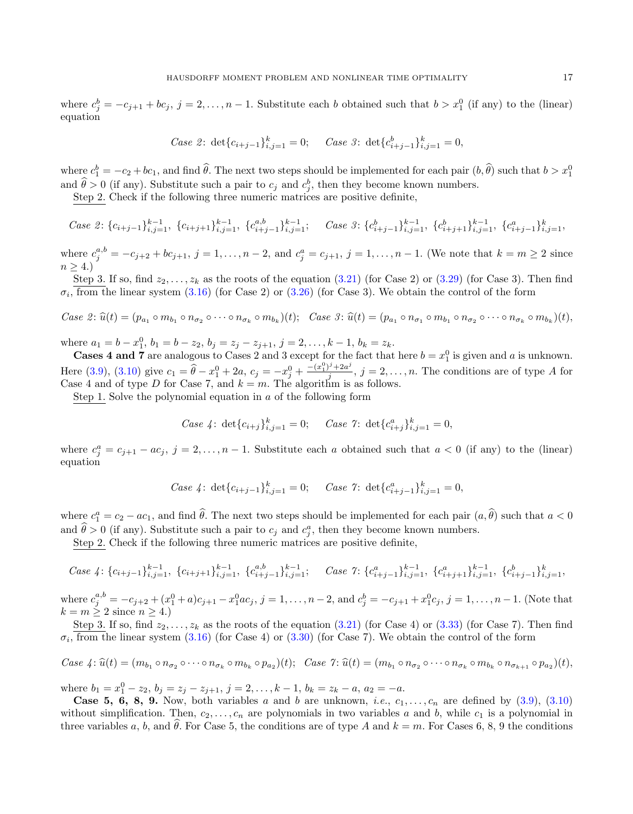where  $c_j^b = -c_{j+1} + bc_j$ ,  $j = 2, \ldots, n-1$ . Substitute each b obtained such that  $b > x_1^0$  (if any) to the (linear) equation

Case 2: 
$$
\det\{c_{i+j-1}\}_{i,j=1}^k = 0
$$
; *Case 3*:  $\det\{c_{i+j-1}^b\}_{i,j=1}^k = 0$ ,

where  $c_1^b = -c_2 + bc_1$ , and find  $\theta$ . The next two steps should be implemented for each pair  $(b, \theta)$  such that  $b > x_1^0$ and  $\theta > 0$  (if any). Substitute such a pair to  $c_j$  and  $c_j^b$ , then they become known numbers.

Step 2. Check if the following three numeric matrices are positive definite,

$$
\textit{Case 2: } \{c_{i+j-1}\}_{i,j=1}^{k-1},\ \{c_{i+j+1}\}_{i,j=1}^{k-1},\ \{c_{i+j-1}^{a,b}\}_{i,j=1}^{k-1}; \quad \textit{Case 3: } \{c_{i+j-1}^b\}_{i,j=1}^{k-1},\ \{c_{i+j+1}^b\}_{i,j=1}^{k-1},\ \{c_{i+j-1}^a\}_{i,j=1}^{k-1},\ \{c_{i+j-1}^b\}_{i,j=1}^{k-1},\ \{c_{i+j-1}^b\}_{i,j=1}^{k-1},\ \{c_{i+j-1}^b\}_{i,j=1}^{k-1},\ \{c_{i+j-1}^b\}_{i,j=1}^{k-1},\ \{c_{i+j-1}^b\}_{i,j=1}^{k-1},\ \{c_{i+j-1}^b\}_{i,j=1}^{k-1},\ \{c_{i+j-1}^b\}_{i,j=1}^{k-1},\ \{c_{i+j-1}^b\}_{i,j=1}^{k-1},\ \{c_{i+j-1}^b\}_{i,j=1}^{k-1},\ \{c_{i+j-1}^b\}_{i,j=1}^{k-1},\ \{c_{i+j-1}^b\}_{i,j=1}^{k-1},\ \{c_{i+j-1}^b\}_{i,j=1}^{k-1},\ \{c_{i+j-1}^b\}_{i,j=1}^{k-1},\ \{c_{i+j-1}^b\}_{i,j=1}^{k-1},\ \{c_{i+j-1}^b\}_{i,j=1}^{k-1},\ \{c_{i+j-1}^b\}_{i,j=1}^{k-1},\ \{c_{i+j-1}^b\}_{i,j=1}^{k-1},\ \{c_{i+j-1}^b\}_{i,j=1}^{k-1},\ \{c_{i+j-1}^b\}_{i,j=1}^{k-1},\ \{c_{i+j-1}^b\}_{i,j=1}^{k-1},\ \{c_{i+j-1}^b\}_{i,j=1}^{k-1},\ \{c_{i+j-1}^b\}_{i,j=1}^{k-1},\ \{c_{i+j-1}^b\}_{i,j=1}^{k-1},\ \{c_{i+j-1}^b\}_{i,j=1}^{k-1},\ \{c_{i+j-1}^b\}_{i,j=1}^{k-1},\ \{
$$

where  $c_j^{a,b} = -c_{j+2} + bc_{j+1}, j = 1, ..., n-2$ , and  $c_j^a = c_{j+1}, j = 1, ..., n-1$ . (We note that  $k = m \ge 2$  since  $n > 4.$ 

Step 3. If so, find  $z_2, \ldots, z_k$  as the roots of the equation [\(3.21\)](#page-11-2) (for Case 2) or [\(3.29\)](#page-12-2) (for Case 3). Then find  $\sigma_i$ , from the linear system  $(3.16)$  (for Case 2) or  $(3.26)$  (for Case 3). We obtain the control of the form

Case 2: 
$$
\hat{u}(t) = (p_{a_1} \circ m_{b_1} \circ n_{\sigma_2} \circ \cdots \circ n_{\sigma_k} \circ m_{b_k})(t)
$$
; Case 3:  $\hat{u}(t) = (p_{a_1} \circ n_{\sigma_1} \circ m_{b_1} \circ n_{\sigma_2} \circ \cdots \circ n_{\sigma_k} \circ m_{b_k})(t)$ ,

where  $a_1 = b - x_1^0$ ,  $b_1 = b - z_2$ ,  $b_j = z_j - z_{j+1}$ ,  $j = 2, ..., k - 1$ ,  $b_k = z_k$ .

**Cases 4 and 7** are analogous to Cases 2 and 3 except for the fact that here  $b = x_1^0$  is given and a is unknown. Here [\(3.9\)](#page-8-3), [\(3.10\)](#page-8-4) give  $c_1 = \hat{\theta} - x_1^0 + 2a$ ,  $c_j = -x_j^0 + \frac{-(x_1^0)^j + 2a_j^j}{j}$  $j_j^{\nu+2a^{\nu}}$ ,  $j=2,\ldots,n$ . The conditions are of type A for Case 4 and of type D for Case 7, and  $k = m$ . The algorithm is as follows.

Step 1. Solve the polynomial equation in a of the following form

Case 4: 
$$
\det\{c_{i+j}\}_{i,j=1}^k = 0
$$
; Case 7:  $\det\{c_{i+j}^a\}_{i,j=1}^k = 0$ ,

where  $c_j^a = c_{j+1} - ac_j$ ,  $j = 2, ..., n-1$ . Substitute each a obtained such that  $a < 0$  (if any) to the (linear) equation

Case 4: 
$$
\det\{c_{i+j-1}\}_{i,j=1}^k = 0
$$
; *Case 7*:  $\det\{c_{i+j-1}^a\}_{i,j=1}^k = 0$ ,

where  $c_1^a = c_2 - ac_1$ , and find  $\hat{\theta}$ . The next two steps should be implemented for each pair  $(a, \hat{\theta})$  such that  $a < 0$ and  $\hat{\theta} > 0$  (if any). Substitute such a pair to  $c_j$  and  $c_j^a$ , then they become known numbers.

Step 2. Check if the following three numeric matrices are positive definite,

$$
\textit{Case 4: } \{c_{i+j-1}\}_{i,j=1}^{k-1}, \text{ } \{c_{i+j+1}\}_{i,j=1}^{k-1}, \text{ } \{c_{i+j-1}^{a,b}\}_{i,j=1}^{k-1}; \quad \textit{Case 7: } \{c_{i+j-1}^{a}\}_{i,j=1}^{k-1}, \text{ } \{c_{i+j+1}^{a}\}_{i,j=1}^{k-1}, \text{ } \{c_{i+j-1}^{b}\}_{i,j=1}^{k}, \text{ } \{c_{i+j-1}^{b}\}_{i,j=1}^{k-1}, \text{ } \{c_{i+j}^{b}\}_{i,j=1}^{k-1}, \text{ } \{c_{i+j}^{b}\}_{i,j=1}^{k-1}, \text{ } \{c_{i+j}^{b}\}_{i,j=1}^{k-1}, \text{ } \{c_{i+j}^{b}\}_{i,j=1}^{k-1}, \text{ } \{c_{i+j}^{b}\}_{i,j=1}^{k-1}, \text{ } \{c_{i+j}^{b}\}_{i,j=1}^{k-1}, \text{ } \{c_{i+j}^{b}\}_{i,j=1}^{k-1}, \text{ } \{c_{i+j}^{b}\}_{i,j=1}^{k-1}, \text{ } \{c_{i+j}^{b}\}_{i,j=1}^{k-1}, \text{ } \{c_{i+j}^{b}\}_{i,j=1}^{k-1}, \text{ } \{c_{i+j}^{b}\}_{i,j=1}^{k-1}, \text{ } \{c_{i+j}^{b}\}_{i,j=1}^{k-1}, \text{ } \{c_{i+j}^{b}\}_{i,j=1}^{k-1}, \text{ } \{c_{i+j}^{b}\}_{i,j=1}^{k-1}, \text{ } \{c_{i+j}^{b}\}_{i,j=1}^{k-1}, \text{ } \{c_{i+j}^{b}\}_{i,j=1}^{k-1}, \text{ } \{c_{i+j}^{b}\}_{i,j=1}^{k-1}, \text{ } \{c_{i+j}^{b}\}_{i,j=1}^{k-1}, \text{ } \{c_{i+j}^{b}\}_{i,j=1}^{k-1}, \text{ } \{c_{i+j}^{b}\}_{i,j=1}^{k-1}, \text{ } \{c_{i+j}^{b}\}_{i,j=1}^{k-1}, \text{ } \{c_{i+j}^{b}\}_{i,j=1}^{k-1}, \text{ } \{c_{i+j}^{b}\}_{i
$$

where  $c_j^{a,b} = -c_{j+2} + (x_1^0 + a)c_{j+1} - x_1^0 ac_j$ ,  $j = 1, ..., n-2$ , and  $c_j^b = -c_{j+1} + x_1^0 c_j$ ,  $j = 1, ..., n-1$ . (Note that  $k = m \geq 2$  since  $n \geq 4$ .)

Step 3. If so, find  $z_2, \ldots, z_k$  as the roots of the equation  $(3.21)$  (for Case 4) or  $(3.33)$  (for Case 7). Then find  $\sigma_i$ , from the linear system  $(3.16)$  (for Case 4) or  $(3.30)$  (for Case 7). We obtain the control of the form

Case 4: 
$$
\hat{u}(t) = (m_{b_1} \circ n_{\sigma_2} \circ \cdots \circ n_{\sigma_k} \circ m_{b_k} \circ p_{a_2})(t)
$$
; Case 7:  $\hat{u}(t) = (m_{b_1} \circ n_{\sigma_2} \circ \cdots \circ n_{\sigma_k} \circ m_{b_k} \circ n_{\sigma_{k+1}} \circ p_{a_2})(t)$ ,

where  $b_1 = x_1^0 - z_2$ ,  $b_j = z_j - z_{j+1}$ ,  $j = 2, ..., k - 1$ ,  $b_k = z_k - a$ ,  $a_2 = -a$ .

**Case 5, 6, 8, 9.** Now, both variables a and b are unknown, *i.e.*,  $c_1, \ldots, c_n$  are defined by [\(3.9\)](#page-8-3), [\(3.10\)](#page-8-4) without simplification. Then,  $c_2, \ldots, c_n$  are polynomials in two variables a and b, while  $c_1$  is a polynomial in three variables a, b, and  $\hat{\theta}$ . For Case 5, the conditions are of type A and  $k = m$ . For Cases 6, 8, 9 the conditions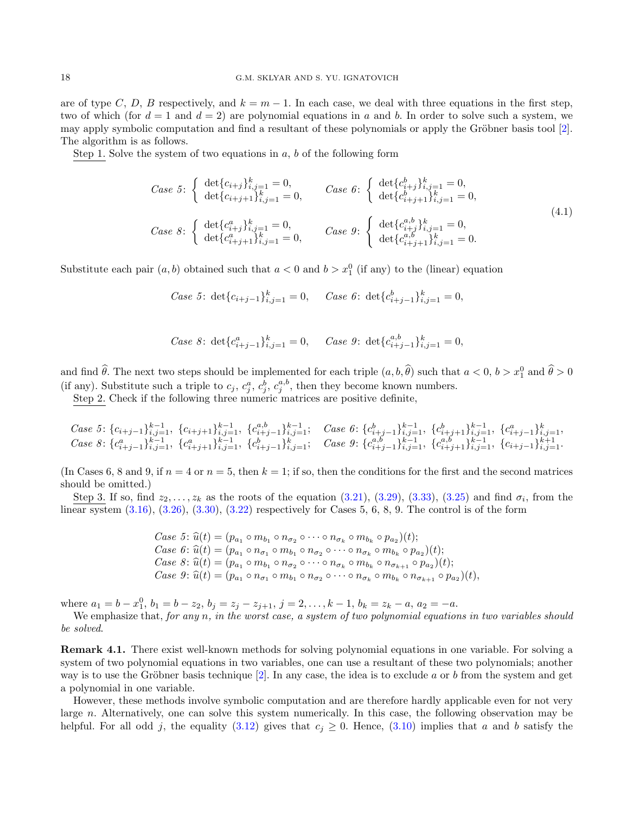are of type C, D, B respectively, and  $k = m - 1$ . In each case, we deal with three equations in the first step, two of which (for  $d = 1$  and  $d = 2$ ) are polynomial equations in a and b. In order to solve such a system, we may apply symbolic computation and find a resultant of these polynomials or apply the Gröbner basis tool [\[2\]](#page-24-4). The algorithm is as follows.

Step 1. Solve the system of two equations in  $a, b$  of the following form

<span id="page-17-0"></span>Case 5: 
$$
\begin{cases} \det\{c_{i+j}\}_{i,j=1}^k = 0, \\ \det\{c_{i+j+1}\}_{i,j=1}^k = 0, \end{cases}
$$
 Case 6: 
$$
\begin{cases} \det\{c_{i+j}^b\}_{i,j=1}^k = 0, \\ \det\{c_{i+j+1}\}_{i,j=1}^k = 0, \end{cases}
$$
 (4.1)  
Case 8: 
$$
\begin{cases} \det\{c_{i+j}^a\}_{i,j=1}^k = 0, \\ \det\{c_{i+j+1}^a\}_{i,j=1}^k = 0, \end{cases}
$$
 (4.1)  

$$
\begin{cases} \det\{c_{i+j+1}^a\}_{i,j=1}^k = 0, \\ \det\{c_{i+j+1}^a\}_{i,j=1}^k = 0. \end{cases}
$$

Substitute each pair  $(a, b)$  obtained such that  $a < 0$  and  $b > x_1^0$  (if any) to the (linear) equation

Case 5: 
$$
\det\{c_{i+j-1}\}_{i,j=1}^k = 0
$$
, *Case 6*:  $\det\{c_{i+j-1}^b\}_{i,j=1}^k = 0$ ,

Case 8: 
$$
\det\{c_{i+j-1}^a\}_{i,j=1}^k = 0
$$
, *Case 9*:  $\det\{c_{i+j-1}^{a,b}\}_{i,j=1}^k = 0$ ,

and find  $\hat{\theta}$ . The next two steps should be implemented for each triple  $(a, b, \hat{\theta})$  such that  $a < 0, b > x_1^0$  and  $\hat{\theta} > 0$ (if any). Substitute such a triple to  $c_j$ ,  $c_j^a$ ,  $c_j^b$ ,  $c_j^{a,b}$ , then they become known numbers.

Step 2. Check if the following three numeric matrices are positive definite,

Case 5: 
$$
\{c_{i+j-1}\}_{i,j=1}^{k-1}, \{c_{i+j+1}\}_{i,j=1}^{k-1}, \{c_{i+j+1}\}_{i,j=1}^{k-1}, \{c_{i+j-1}^{a,b}\}_{i,j=1}^{k-1};
$$
 Case 6: 
$$
\{c_{i+j-1}^{b-1}\}_{i,j=1}^{k-1}, \{c_{i+j+1}^{b-1}\}_{i,j=1}^{k-1}, \{c_{i+j+1}^{b-1}\}_{i,j=1}^{k-1}, \{c_{i+j-1}^{b-1}\}_{i,j=1}^{k-1}, \{c_{i+j-1}^{a,b}\}_{i,j=1}^{k-1}, \{c_{i+j-1}^{a,b}\}_{i,j=1}^{k-1}, \{c_{i+j-1}^{b-1}\}_{i,j=1}^{k-1}, \{c_{i+j-1}^{b-1}\}_{i,j=1}^{k-1}, \{c_{i+j-1}^{b-1}\}_{i,j=1}^{k-1}, \{c_{i+j-1}^{b-1}\}_{i,j=1}^{k-1}, \{c_{i+j-1}^{b-1}\}_{i,j=1}^{k-1}, \{c_{i+j-1}^{b-1}\}_{i,j=1}^{k-1}, \{c_{i+j-1}^{b-1}\}_{i,j=1}^{k-1}, \{c_{i+j-1}^{b-1}\}_{i,j=1}^{k-1}, \{c_{i+j-1}^{b-1}\}_{i,j=1}^{k-1}, \{c_{i+j-1}^{b-1}\}_{i,j=1}^{k-1}, \{c_{i+j-1}^{b-1}\}_{i,j=1}^{k-1}, \{c_{i+j-1}^{b-1}\}_{i,j=1}^{k-1}, \{c_{i+j-1}^{b-1}\}_{i,j=1}^{k-1}, \{c_{i+j-1}^{b-1}\}_{i,j=1}^{k-1}, \{c_{i+j-1}^{b-1}\}_{i,j=1}^{k-1}, \{c_{i+j-1}^{b-1}\}_{i,j=1}^{k-1}, \{c_{i+j-1}^{b-1}\}_{i,j=1}^{k-1}, \{c_{i+j-1}^{b-1}\}_{i,j=1}^{k-1}, \{c_{i+j-1}^{b-1}\}_{i,j=1}^{k-1}, \{c_{i+j-1}^{b-1}\}_{i,j=1}^{k-1}, \{c_{i+j-1}^{b-
$$

(In Cases 6, 8 and 9, if  $n = 4$  or  $n = 5$ , then  $k = 1$ ; if so, then the conditions for the first and the second matrices should be omitted.)

Step 3. If so, find  $z_2, \ldots, z_k$  as the roots of the equation  $(3.21), (3.29), (3.33), (3.25)$  $(3.21), (3.29), (3.33), (3.25)$  $(3.21), (3.29), (3.33), (3.25)$  $(3.21), (3.29), (3.33), (3.25)$  $(3.21), (3.29), (3.33), (3.25)$  $(3.21), (3.29), (3.33), (3.25)$  $(3.21), (3.29), (3.33), (3.25)$  and find  $\sigma_i$ , from the linear system  $(3.16)$ ,  $(3.26)$ ,  $(3.30)$ ,  $(3.22)$  respectively for Cases 5, 6, 8, 9. The control is of the form

Case 5: 
$$
\hat{u}(t) = (p_{a_1} \circ m_{b_1} \circ n_{\sigma_2} \circ \cdots \circ n_{\sigma_k} \circ m_{b_k} \circ p_{a_2})(t);
$$
  
\nCase 6:  $\hat{u}(t) = (p_{a_1} \circ n_{\sigma_1} \circ m_{b_1} \circ n_{\sigma_2} \circ \cdots \circ n_{\sigma_k} \circ m_{b_k} \circ p_{a_2})(t);$   
\nCase 8:  $\hat{u}(t) = (p_{a_1} \circ m_{b_1} \circ n_{\sigma_2} \circ \cdots \circ n_{\sigma_k} \circ m_{b_k} \circ n_{\sigma_{k+1}} \circ p_{a_2})(t);$   
\nCase 9:  $\hat{u}(t) = (p_{a_1} \circ n_{\sigma_1} \circ m_{b_1} \circ n_{\sigma_2} \circ \cdots \circ n_{\sigma_k} \circ m_{b_k} \circ n_{\sigma_{k+1}} \circ p_{a_2})(t),$ 

where  $a_1 = b - x_1^0$ ,  $b_1 = b - z_2$ ,  $b_j = z_j - z_{j+1}$ ,  $j = 2, ..., k - 1$ ,  $b_k = z_k - a$ ,  $a_2 = -a$ .

We emphasize that, for any n, in the worst case, a system of two polynomial equations in two variables should be solved.

Remark 4.1. There exist well-known methods for solving polynomial equations in one variable. For solving a system of two polynomial equations in two variables, one can use a resultant of these two polynomials; another way is to use the Gröbner basis technique [\[2\]](#page-24-4). In any case, the idea is to exclude a or b from the system and get a polynomial in one variable.

However, these methods involve symbolic computation and are therefore hardly applicable even for not very large n. Alternatively, one can solve this system numerically. In this case, the following observation may be helpful. For all odd j, the equality [\(3.12\)](#page-8-1) gives that  $c_j \geq 0$ . Hence, [\(3.10\)](#page-8-4) implies that a and b satisfy the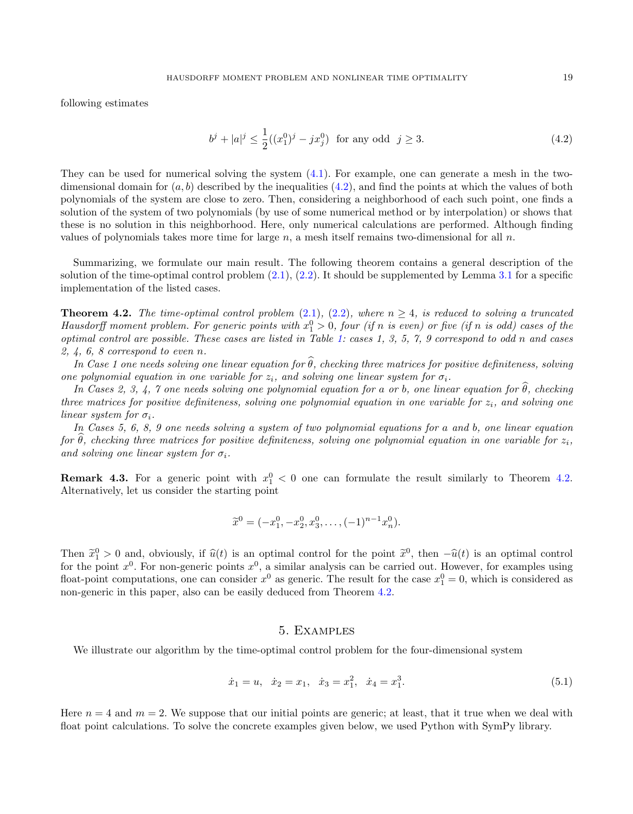following estimates

<span id="page-18-3"></span>
$$
b^{j} + |a|^{j} \le \frac{1}{2}((x_{1}^{0})^{j} - jx_{j}^{0}) \text{ for any odd } j \ge 3.
$$
 (4.2)

They can be used for numerical solving the system [\(4.1\)](#page-17-0). For example, one can generate a mesh in the twodimensional domain for  $(a, b)$  described by the inequalities  $(4.2)$ , and find the points at which the values of both polynomials of the system are close to zero. Then, considering a neighborhood of each such point, one finds a solution of the system of two polynomials (by use of some numerical method or by interpolation) or shows that these is no solution in this neighborhood. Here, only numerical calculations are performed. Although finding values of polynomials takes more time for large n, a mesh itself remains two-dimensional for all  $n$ .

Summarizing, we formulate our main result. The following theorem contains a general description of the solution of the time-optimal control problem  $(2.1), (2.2)$  $(2.1), (2.2)$  $(2.1), (2.2)$ . It should be supplemented by Lemma [3.1](#page-9-0) for a specific implementation of the listed cases.

<span id="page-18-0"></span>**Theorem 4.2.** The time-optimal control problem [\(2.1\)](#page-3-2), [\(2.2\)](#page-3-3), where  $n \geq 4$ , is reduced to solving a truncated Hausdorff moment problem. For generic points with  $x_1^0 > 0$ , four (if n is even) or five (if n is odd) cases of the optimal control are possible. These cases are listed in Table [1:](#page-10-0) cases  $1, 3, 5, 7, 9$  correspond to odd n and cases 2, 4, 6, 8 correspond to even n.

In Case 1 one needs solving one linear equation for  $\widehat{\theta}$ , checking three matrices for positive definiteness, solving one polynomial equation in one variable for  $z_i$ , and solving one linear system for  $\sigma_i$ .

In Cases 2, 3, 4, 7 one needs solving one polynomial equation for a or b, one linear equation for  $\hat{\theta}$ , checking three matrices for positive definiteness, solving one polynomial equation in one variable for  $z_i$ , and solving one linear system for  $\sigma_i$ .

In Cases 5, 6, 8, 9 one needs solving a system of two polynomial equations for a and b, one linear equation for  $\theta$ , checking three matrices for positive definiteness, solving one polynomial equation in one variable for  $z_i$ , and solving one linear system for  $\sigma_i$ .

<span id="page-18-2"></span>**Remark 4.3.** For a generic point with  $x_1^0 < 0$  one can formulate the result similarly to Theorem [4.2.](#page-18-0) Alternatively, let us consider the starting point

$$
\widetilde{x}^0 = (-x_1^0, -x_2^0, x_3^0, \dots, (-1)^{n-1} x_n^0).
$$

Then  $\tilde{x}_1^0 > 0$  and, obviously, if  $\hat{u}(t)$  is an optimal control for the point  $\tilde{x}^0$ , then  $-\hat{u}(t)$  is an optimal control<br>for the point  $x^0$ . For non-generic points  $x^0$ , a similar analysis can be carried out. for the point  $x^0$ . For non-generic points  $x^0$ , a similar analysis can be carried out. However, for examples using float-point computations, one can consider  $x^0$  as generic. The result for the case  $x_1^0 = 0$ , which is considered as non-generic in this paper, also can be easily deduced from Theorem [4.2.](#page-18-0)

### 5. Examples

<span id="page-18-1"></span>We illustrate our algorithm by the time-optimal control problem for the four-dimensional system

<span id="page-18-4"></span>
$$
\dot{x}_1 = u, \quad \dot{x}_2 = x_1, \quad \dot{x}_3 = x_1^2, \quad \dot{x}_4 = x_1^3. \tag{5.1}
$$

Here  $n = 4$  and  $m = 2$ . We suppose that our initial points are generic; at least, that it true when we deal with float point calculations. To solve the concrete examples given below, we used Python with SymPy library.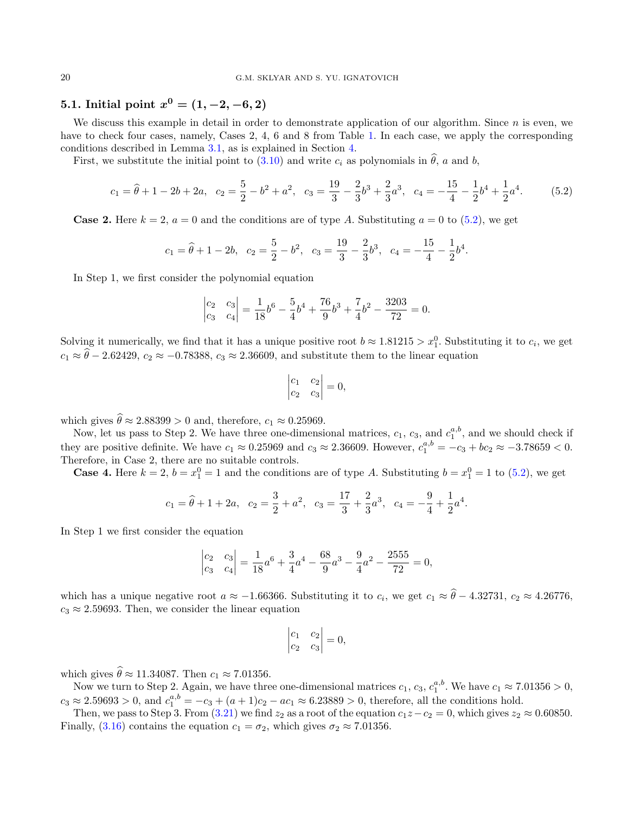# 5.1. Initial point  $x^0 = (1, -2, -6, 2)$

We discuss this example in detail in order to demonstrate application of our algorithm. Since  $n$  is even, we have to check four cases, namely, Cases 2, 4, 6 and 8 from Table [1.](#page-10-0) In each case, we apply the corresponding conditions described in Lemma [3.1,](#page-9-0) as is explained in Section [4.](#page-14-0)

First, we substitute the initial point to [\(3.10\)](#page-8-4) and write  $c_i$  as polynomials in  $\hat{\theta}$ , a and b,

<span id="page-19-0"></span>
$$
c_1 = \hat{\theta} + 1 - 2b + 2a, \quad c_2 = \frac{5}{2} - b^2 + a^2, \quad c_3 = \frac{19}{3} - \frac{2}{3}b^3 + \frac{2}{3}a^3, \quad c_4 = -\frac{15}{4} - \frac{1}{2}b^4 + \frac{1}{2}a^4. \tag{5.2}
$$

**Case 2.** Here  $k = 2$ ,  $a = 0$  and the conditions are of type A. Substituting  $a = 0$  to [\(5.2\)](#page-19-0), we get

$$
c_1 = \hat{\theta} + 1 - 2b
$$
,  $c_2 = \frac{5}{2} - b^2$ ,  $c_3 = \frac{19}{3} - \frac{2}{3}b^3$ ,  $c_4 = -\frac{15}{4} - \frac{1}{2}b^4$ .

In Step 1, we first consider the polynomial equation

$$
\begin{vmatrix} c_2 & c_3 \ c_3 & c_4 \end{vmatrix} = \frac{1}{18}b^6 - \frac{5}{4}b^4 + \frac{76}{9}b^3 + \frac{7}{4}b^2 - \frac{3203}{72} = 0.
$$

Solving it numerically, we find that it has a unique positive root  $b \approx 1.81215 > x_1^0$ . Substituting it to  $c_i$ , we get  $c_1 \approx \hat{\theta} - 2.62429$ ,  $c_2 \approx -0.78388$ ,  $c_3 \approx 2.36609$ , and substitute them to the linear equation

$$
\begin{vmatrix} c_1 & c_2 \ c_2 & c_3 \end{vmatrix} = 0,
$$

which gives  $\widehat{\theta} \approx 2.88399 > 0$  and, therefore,  $c_1 \approx 0.25969.$ 

Now, let us pass to Step 2. We have three one-dimensional matrices,  $c_1$ ,  $c_3$ , and  $c_1^{a,b}$ , and we should check if they are positive definite. We have  $c_1 \approx 0.25969$  and  $c_3 \approx 2.36609$ . However,  $c_1^{a,b} = -c_3 + bc_2 \approx -3.78659 < 0$ . Therefore, in Case 2, there are no suitable controls.

**Case 4.** Here  $k = 2$ ,  $b = x_1^0 = 1$  and the conditions are of type A. Substituting  $b = x_1^0 = 1$  to [\(5.2\)](#page-19-0), we get

$$
c_1=\widehat{\theta}+1+2a, \ \ c_2=\frac{3}{2}+a^2, \ \ c_3=\frac{17}{3}+\frac{2}{3}a^3, \ \ c_4=-\frac{9}{4}+\frac{1}{2}a^4.
$$

In Step 1 we first consider the equation

$$
\begin{vmatrix} c_2 & c_3 \ c_3 & c_4 \end{vmatrix} = \frac{1}{18}a^6 + \frac{3}{4}a^4 - \frac{68}{9}a^3 - \frac{9}{4}a^2 - \frac{2555}{72} = 0,
$$

which has a unique negative root  $a \approx -1.66366$ . Substituting it to  $c_i$ , we get  $c_1 \approx \theta - 4.32731$ ,  $c_2 \approx 4.26776$ ,  $c_3 \approx 2.59693$ . Then, we consider the linear equation

$$
\begin{vmatrix} c_1 & c_2 \\ c_2 & c_3 \end{vmatrix} = 0,
$$

which gives  $\widehat{\theta} \approx 11.34087$ . Then  $c_1 \approx 7.01356$ .

Now we turn to Step 2. Again, we have three one-dimensional matrices  $c_1, c_3, c_1^{a,b}$ . We have  $c_1 \approx 7.01356 > 0$ ,  $c_3 \approx 2.59693 > 0$ , and  $c_1^{a,b} = -c_3 + (a+1)c_2 - ac_1 \approx 6.23889 > 0$ , therefore, all the conditions hold.

Then, we pass to Step 3. From [\(3.21\)](#page-11-2) we find  $z_2$  as a root of the equation  $c_1z-c_2=0$ , which gives  $z_2 \approx 0.60850$ . Finally, [\(3.16\)](#page-10-1) contains the equation  $c_1 = \sigma_2$ , which gives  $\sigma_2 \approx 7.01356$ .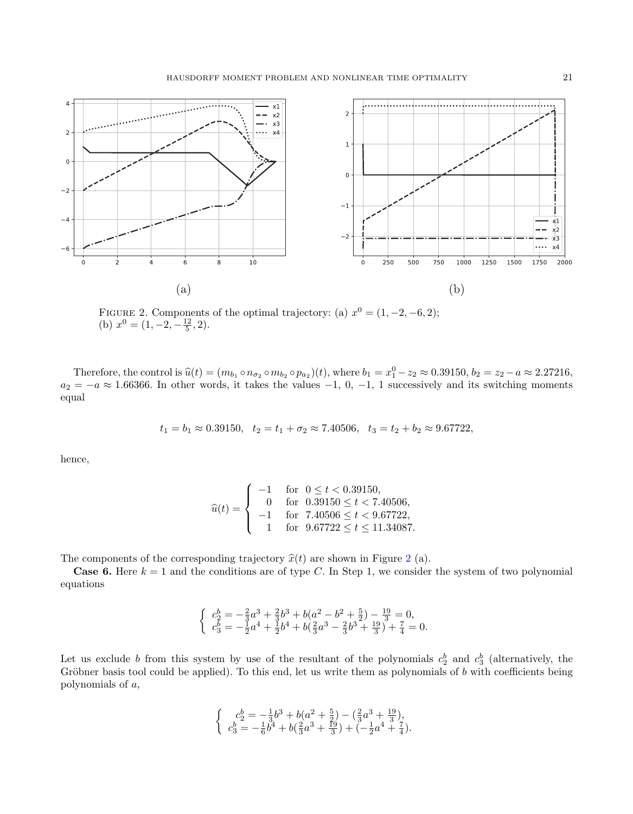

<span id="page-20-0"></span>FIGURE 2. Components of the optimal trajectory: (a)  $x^0 = (1, -2, -6, 2);$ (b)  $x^0 = (1, -2, -\frac{12}{5}, 2).$ 

Therefore, the control is  $\hat{u}(t) = (m_{b_1} \circ n_{\sigma_2} \circ m_{b_2} \circ p_{a_2})(t)$ , where  $b_1 = x_1^0 - z_2 \approx 0.39150$ ,  $b_2 = z_2 - a \approx 2.27216$ ,  $z_2 = -a \approx 1.66366$ . In other words, it takes the values  $-1, 0, -1, 1$  successively and its sw  $a_2 = -a \approx 1.66366$ . In other words, it takes the values  $-1, 0, -1, 1$  successively and its switching moments equal

$$
t_1 = b_1 \approx 0.39150
$$
,  $t_2 = t_1 + \sigma_2 \approx 7.40506$ ,  $t_3 = t_2 + b_2 \approx 9.67722$ ,

hence,

$$
\widehat{u}(t) = \begin{cases}\n-1 & \text{for } 0 \le t < 0.39150, \\
0 & \text{for } 0.39150 \le t < 7.40506, \\
-1 & \text{for } 7.40506 \le t < 9.67722, \\
1 & \text{for } 9.67722 \le t \le 11.34087.\n\end{cases}
$$

The components of the corresponding trajectory  $\hat{x}(t)$  are shown in Figure [2](#page-20-0) (a).

**Case 6.** Here  $k = 1$  and the conditions are of type C. In Step 1, we consider the system of two polynomial equations

$$
\begin{cases} c_2^b = -\frac{2}{3}a^3 + \frac{2}{3}b^3 + b(a^2 - b^2 + \frac{5}{2}) - \frac{19}{3} = 0, \\ c_3^b = -\frac{1}{2}a^4 + \frac{1}{2}b^4 + b(\frac{2}{3}a^3 - \frac{2}{3}b^3 + \frac{19}{3}) + \frac{7}{4} = 0. \end{cases}
$$

Let us exclude b from this system by use of the resultant of the polynomials  $c_2^b$  and  $c_3^b$  (alternatively, the Gröbner basis tool could be applied). To this end, let us write them as polynomials of  $b$  with coefficients being polynomials of a,

$$
\begin{cases}\n c_2^b = -\frac{1}{3}b^3 + b(a^2 + \frac{5}{2}) - (\frac{2}{3}a^3 + \frac{19}{3}), \\
 c_3^b = -\frac{1}{6}b^4 + b(\frac{2}{3}a^3 + \frac{19}{3}) + (-\frac{1}{2}a^4 + \frac{7}{4}).\n\end{cases}
$$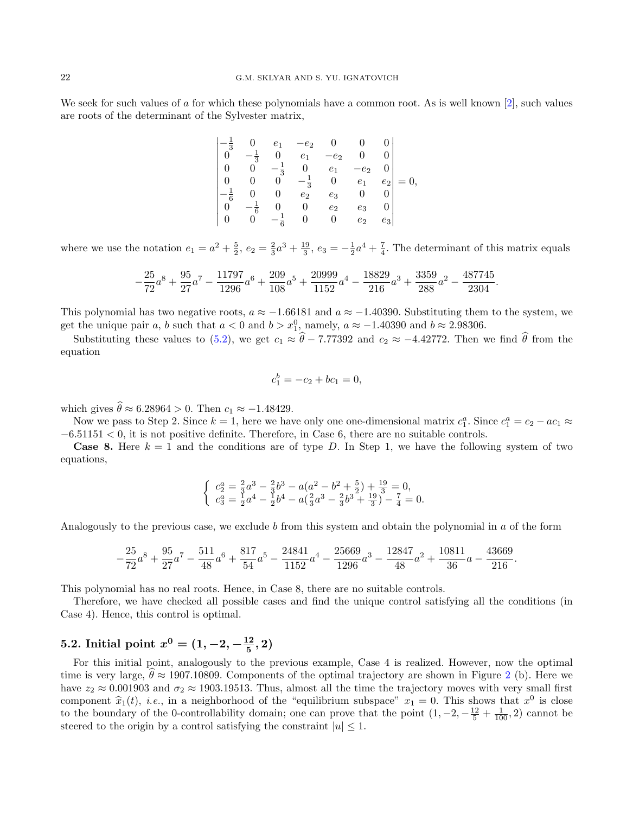We seek for such values of a for which these polynomials have a common root. As is well known  $[2]$ , such values are roots of the determinant of the Sylvester matrix,

$$
\begin{vmatrix}\n-\frac{1}{3} & 0 & e_1 & -e_2 & 0 & 0 & 0 \\
0 & -\frac{1}{3} & 0 & e_1 & -e_2 & 0 & 0 \\
0 & 0 & -\frac{1}{3} & 0 & e_1 & -e_2 & 0 \\
0 & 0 & 0 & -\frac{1}{3} & 0 & e_1 & e_2 \\
-\frac{1}{6} & 0 & 0 & e_2 & e_3 & 0 & 0 \\
0 & -\frac{1}{6} & 0 & 0 & e_2 & e_3 & 0 \\
0 & 0 & -\frac{1}{6} & 0 & 0 & e_2 & e_3\n\end{vmatrix} = 0,
$$

where we use the notation  $e_1 = a^2 + \frac{5}{2}$ ,  $e_2 = \frac{2}{3}a^3 + \frac{19}{3}$ ,  $e_3 = -\frac{1}{2}a^4 + \frac{7}{4}$ . The determinant of this matrix equals

$$
-\frac{25}{72}a^8+\frac{95}{27}a^7-\frac{11797}{1296}a^6+\frac{209}{108}a^5+\frac{20999}{1152}a^4-\frac{18829}{216}a^3+\frac{3359}{288}a^2-\frac{487745}{2304}
$$

.

This polynomial has two negative roots,  $a \approx -1.66181$  and  $a \approx -1.40390$ . Substituting them to the system, we get the unique pair a, b such that  $a < 0$  and  $b > x_1^0$ , namely,  $a \approx -1.40390$  and  $b \approx 2.98306$ .

Substituting these values to [\(5.2\)](#page-19-0), we get  $c_1 \approx \theta - 7.77392$  and  $c_2 \approx -4.42772$ . Then we find  $\theta$  from the equation

$$
c_1^b = -c_2 + bc_1 = 0,
$$

which gives  $\hat{\theta} \approx 6.28964 > 0$ . Then  $c_1 \approx -1.48429$ .

Now we pass to Step 2. Since  $k = 1$ , here we have only one one-dimensional matrix  $c_1^a$ . Since  $c_1^a = c_2 - ac_1 \approx$  $-6.51151 < 0$ , it is not positive definite. Therefore, in Case 6, there are no suitable controls.

**Case 8.** Here  $k = 1$  and the conditions are of type D. In Step 1, we have the following system of two equations,

$$
\begin{cases}\nc_2^a = \frac{2}{3}a^3 - \frac{2}{3}b^3 - a(a^2 - b^2 + \frac{5}{2}) + \frac{19}{3} = 0, \\
c_3^a = \frac{1}{2}a^4 - \frac{1}{2}b^4 - a(\frac{2}{3}a^3 - \frac{2}{3}b^3 + \frac{19}{3}) - \frac{7}{4} = 0.\n\end{cases}
$$

Analogously to the previous case, we exclude b from this system and obtain the polynomial in a of the form

$$
-\frac{25}{72}a^8 + \frac{95}{27}a^7 - \frac{511}{48}a^6 + \frac{817}{54}a^5 - \frac{24841}{1152}a^4 - \frac{25669}{1296}a^3 - \frac{12847}{48}a^2 + \frac{10811}{36}a - \frac{43669}{216}.
$$

This polynomial has no real roots. Hence, in Case 8, there are no suitable controls.

Therefore, we have checked all possible cases and find the unique control satisfying all the conditions (in Case 4). Hence, this control is optimal.

# 5.2. Initial point  $x^0 = (1, -2, -\frac{12}{5}, 2)$

For this initial point, analogously to the previous example, Case 4 is realized. However, now the optimal time is very large,  $\theta \approx 1907.10809$ . Components of the optimal trajectory are shown in Figure [2](#page-20-0) (b). Here we have  $z_2 \approx 0.001903$  and  $\sigma_2 \approx 1903.19513$ . Thus, almost all the time the trajectory moves with very small first component  $\hat{x}_1(t)$ , *i.e.*, in a neighborhood of the "equilibrium subspace"  $x_1 = 0$ . This shows that  $x^0$  is close to the boundary of the 0-controllability domain; one can prove that the point  $(1, -2, -\frac{12}{5} + \frac{1}{100}, 2)$  cannot be steered to the origin by a control satisfying the constraint  $|u| \leq 1$ .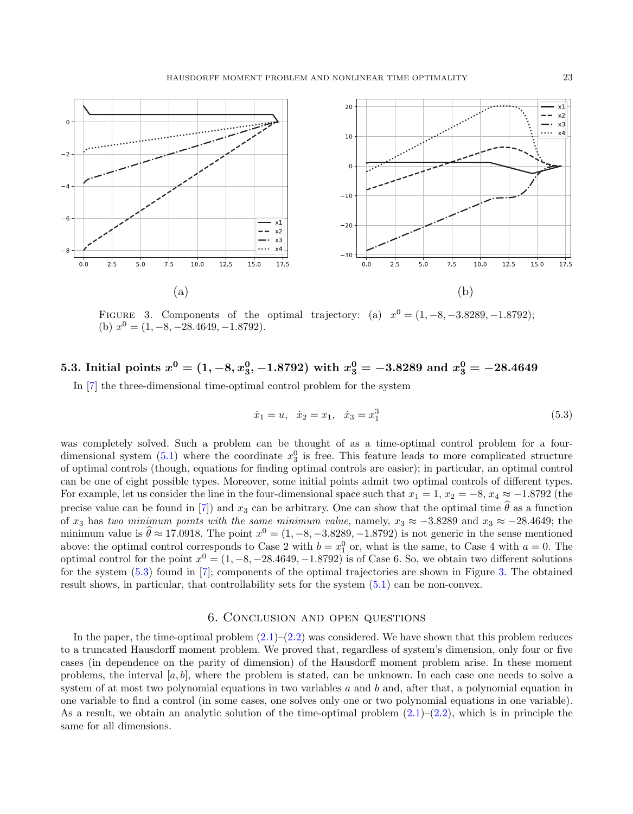

<span id="page-22-2"></span>FIGURE 3. Components of the optimal trajectory: (a)  $x^0 = (1, -8, -3.8289, -1.8792)$ ; (b)  $x^0 = (1, -8, -28.4649, -1.8792)$ .

# 5.3. Initial points  $x^0 = (1, -8, x_3^0, -1.8792)$  with  $x_3^0 = -3.8289$  and  $x_3^0 = -28.4649$ In [\[7\]](#page-25-14) the three-dimensional time-optimal control problem for the system

<span id="page-22-1"></span>
$$
\dot{x}_1 = u, \quad \dot{x}_2 = x_1, \quad \dot{x}_3 = x_1^3 \tag{5.3}
$$

was completely solved. Such a problem can be thought of as a time-optimal control problem for a fourdimensional system  $(5.1)$  where the coordinate  $x_3^0$  is free. This feature leads to more complicated structure of optimal controls (though, equations for finding optimal controls are easier); in particular, an optimal control can be one of eight possible types. Moreover, some initial points admit two optimal controls of different types. For example, let us consider the line in the four-dimensional space such that  $x_1 = 1$ ,  $x_2 = -8$ ,  $x_4 \approx -1.8792$  (the precise value can be found in [\[7\]](#page-25-14)) and  $x_3$  can be arbitrary. One can show that the optimal time  $\hat{\theta}$  as a function of  $x_3$  has two minimum points with the same minimum value, namely,  $x_3 \approx -3.8289$  and  $x_3 \approx -28.4649$ ; the minimum value is  $\hat{\theta} \approx 17.0918$ . The point  $x^0 = (1, -8, -3.8289, -1.8792)$  is not generic in the sense mentioned above: the optimal control corresponds to Case 2 with  $b = x_1^0$  or, what is the same, to Case 4 with  $a = 0$ . The optimal control for the point  $x^0 = (1, -8, -28.4649, -1.8792)$  is of Case 6. So, we obtain two different solutions for the system [\(5.3\)](#page-22-1) found in [\[7\]](#page-25-14); components of the optimal trajectories are shown in Figure [3.](#page-22-2) The obtained result shows, in particular, that controllability sets for the system [\(5.1\)](#page-18-4) can be non-convex.

# 6. Conclusion and open questions

<span id="page-22-0"></span>In the paper, the time-optimal problem  $(2.1)$ – $(2.2)$  was considered. We have shown that this problem reduces to a truncated Hausdorff moment problem. We proved that, regardless of system's dimension, only four or five cases (in dependence on the parity of dimension) of the Hausdorff moment problem arise. In these moment problems, the interval  $[a, b]$ , where the problem is stated, can be unknown. In each case one needs to solve a system of at most two polynomial equations in two variables a and b and, after that, a polynomial equation in one variable to find a control (in some cases, one solves only one or two polynomial equations in one variable). As a result, we obtain an analytic solution of the time-optimal problem  $(2.1)$ – $(2.2)$ , which is in principle the same for all dimensions.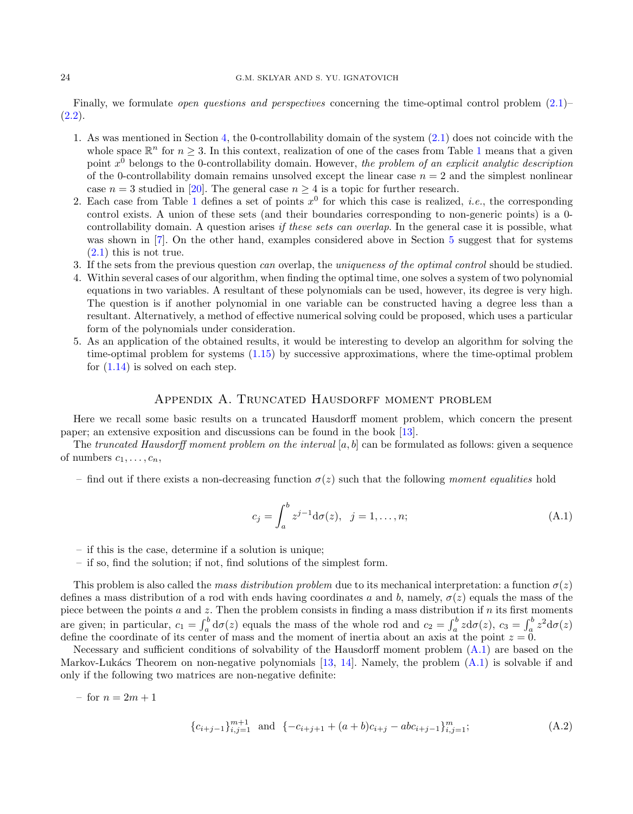Finally, we formulate *open questions and perspectives* concerning the time-optimal control problem  $(2.1)$ –  $(2.2).$  $(2.2).$ 

- 1. As was mentioned in Section [4,](#page-14-0) the 0-controllability domain of the system [\(2.1\)](#page-3-2) does not coincide with the whole space  $\mathbb{R}^n$  for  $n \geq 3$ . In this context, realization of one of the cases from Table [1](#page-10-0) means that a given point  $x^0$  belongs to the 0-controllability domain. However, the problem of an explicit analytic description of the 0-controllability domain remains unsolved except the linear case  $n = 2$  and the simplest nonlinear case  $n = 3$  studied in [\[20\]](#page-25-11). The general case  $n \geq 4$  is a topic for further research.
- 2. Each case from Table [1](#page-10-0) defines a set of points  $x^0$  for which this case is realized, *i.e.*, the corresponding control exists. A union of these sets (and their boundaries corresponding to non-generic points) is a 0 controllability domain. A question arises *if these sets can overlap*. In the general case it is possible, what was shown in [\[7\]](#page-25-14). On the other hand, examples considered above in Section [5](#page-18-1) suggest that for systems  $(2.1)$  this is not true.
- 3. If the sets from the previous question can overlap, the uniqueness of the optimal control should be studied.
- 4. Within several cases of our algorithm, when finding the optimal time, one solves a system of two polynomial equations in two variables. A resultant of these polynomials can be used, however, its degree is very high. The question is if another polynomial in one variable can be constructed having a degree less than a resultant. Alternatively, a method of effective numerical solving could be proposed, which uses a particular form of the polynomials under consideration.
- 5. As an application of the obtained results, it would be interesting to develop an algorithm for solving the time-optimal problem for systems [\(1.15\)](#page-3-0) by successive approximations, where the time-optimal problem for  $(1.14)$  is solved on each step.

# APPENDIX A. TRUNCATED HAUSDORFF MOMENT PROBLEM

<span id="page-23-0"></span>Here we recall some basic results on a truncated Hausdorff moment problem, which concern the present paper; an extensive exposition and discussions can be found in the book [\[13\]](#page-25-3).

The truncated Hausdorff moment problem on the interval  $[a, b]$  can be formulated as follows: given a sequence of numbers  $c_1, \ldots, c_n$ ,

– find out if there exists a non-decreasing function  $\sigma(z)$  such that the following moment equalities hold

<span id="page-23-1"></span>
$$
c_j = \int_a^b z^{j-1} d\sigma(z), \ \ j = 1, \dots, n; \tag{A.1}
$$

- if this is the case, determine if a solution is unique;
- if so, find the solution; if not, find solutions of the simplest form.

This problem is also called the mass distribution problem due to its mechanical interpretation: a function  $\sigma(z)$ defines a mass distribution of a rod with ends having coordinates a and b, namely,  $\sigma(z)$  equals the mass of the piece between the points  $a$  and  $z$ . Then the problem consists in finding a mass distribution if  $n$  its first moments are given; in particular,  $c_1 = \int_a^b d\sigma(z)$  equals the mass of the whole rod and  $c_2 = \int_a^b z d\sigma(z)$ ,  $c_3 = \int_a^b z^2 d\sigma(z)$ define the coordinate of its center of mass and the moment of inertia about an axis at the point  $z = 0$ .

Necessary and sufficient conditions of solvability of the Hausdorff moment problem  $(A.1)$  are based on the Markov-Lukács Theorem on non-negative polynomials  $[13, 14]$  $[13, 14]$  $[13, 14]$ . Namely, the problem  $(A.1)$  is solvable if and only if the following two matrices are non-negative definite:

– for  $n = 2m + 1$ 

<span id="page-23-2"></span>
$$
\{c_{i+j-1}\}_{i,j=1}^{m+1} \text{ and } \{-c_{i+j+1} + (a+b)c_{i+j} - abc_{i+j-1}\}_{i,j=1}^m; \tag{A.2}
$$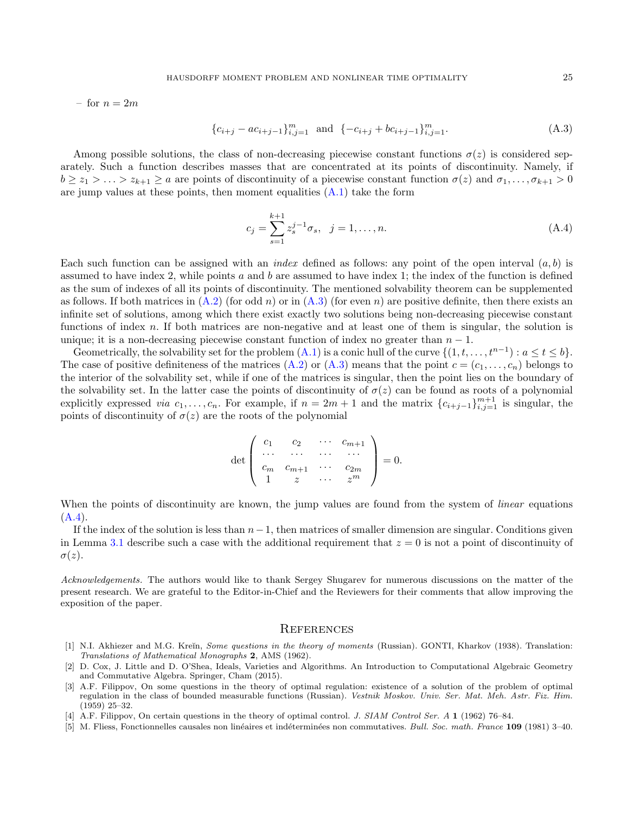– for  $n = 2m$ 

<span id="page-24-5"></span>
$$
\{c_{i+j} - ac_{i+j-1}\}_{i,j=1}^m \text{ and } \{-c_{i+j} + bc_{i+j-1}\}_{i,j=1}^m. \tag{A.3}
$$

Among possible solutions, the class of non-decreasing piecewise constant functions  $\sigma(z)$  is considered separately. Such a function describes masses that are concentrated at its points of discontinuity. Namely, if  $b \geq z_1 > \ldots > z_{k+1} \geq a$  are points of discontinuity of a piecewise constant function  $\sigma(z)$  and  $\sigma_1, \ldots, \sigma_{k+1} > 0$ are jump values at these points, then moment equalities  $(A.1)$  take the form

<span id="page-24-6"></span>
$$
c_j = \sum_{s=1}^{k+1} z_s^{j-1} \sigma_s, \quad j = 1, \dots, n. \tag{A.4}
$$

Each such function can be assigned with an *index* defined as follows: any point of the open interval  $(a, b)$  is assumed to have index 2, while points a and b are assumed to have index 1; the index of the function is defined as the sum of indexes of all its points of discontinuity. The mentioned solvability theorem can be supplemented as follows. If both matrices in  $(A.2)$  (for odd n) or in  $(A.3)$  (for even n) are positive definite, then there exists an infinite set of solutions, among which there exist exactly two solutions being non-decreasing piecewise constant functions of index n. If both matrices are non-negative and at least one of them is singular, the solution is unique; it is a non-decreasing piecewise constant function of index no greater than  $n-1$ .

Geometrically, the solvability set for the problem  $(A.1)$  is a conic hull of the curve  $\{(1, t, \ldots, t^{n-1}) : a \le t \le b\}.$ The case of positive definiteness of the matrices [\(A.2\)](#page-23-2) or [\(A.3\)](#page-24-5) means that the point  $c = (c_1, \ldots, c_n)$  belongs to the interior of the solvability set, while if one of the matrices is singular, then the point lies on the boundary of the solvability set. In the latter case the points of discontinuity of  $\sigma(z)$  can be found as roots of a polynomial explicitly expressed *via*  $c_1, \ldots, c_n$ . For example, if  $n = 2m + 1$  and the matrix  $\{c_{i+j-1}\}_{i,j=1}^{m+1}$  is singular, the points of discontinuity of  $\sigma(z)$  are the roots of the polynomial

$$
\det\left(\begin{array}{cccc} c_1 & c_2 & \cdots & c_{m+1} \\ \cdots & \cdots & \cdots & \cdots \\ c_m & c_{m+1} & \cdots & c_{2m} \\ 1 & z & \cdots & z^m \end{array}\right) = 0.
$$

When the points of discontinuity are known, the jump values are found from the system of *linear* equations  $(A.4).$  $(A.4).$ 

If the index of the solution is less than  $n-1$ , then matrices of smaller dimension are singular. Conditions given in Lemma [3.1](#page-9-0) describe such a case with the additional requirement that  $z = 0$  is not a point of discontinuity of  $\sigma(z)$ .

Acknowledgements. The authors would like to thank Sergey Shugarev for numerous discussions on the matter of the present research. We are grateful to the Editor-in-Chief and the Reviewers for their comments that allow improving the exposition of the paper.

### **REFERENCES**

- <span id="page-24-0"></span>[1] N.I. Akhiezer and M.G. Kreĭn, Some questions in the theory of moments (Russian). GONTI, Kharkov (1938). Translation: Translations of Mathematical Monographs 2, AMS (1962).
- <span id="page-24-4"></span>[2] D. Cox, J. Little and D. O'Shea, Ideals, Varieties and Algorithms. An Introduction to Computational Algebraic Geometry and Commutative Algebra. Springer, Cham (2015).
- <span id="page-24-2"></span>[3] A.F. Filippov, On some questions in the theory of optimal regulation: existence of a solution of the problem of optimal regulation in the class of bounded measurable functions (Russian). Vestnik Moskov. Univ. Ser. Mat. Meh. Astr. Fiz. Him. (1959) 25–32.
- <span id="page-24-3"></span>[4] A.F. Filippov, On certain questions in the theory of optimal control. J. SIAM Control Ser. A 1 (1962) 76–84.
- <span id="page-24-1"></span>[5] M. Fliess, Fonctionnelles causales non linéaires et indéterminées non commutatives. Bull. Soc. math. France 109 (1981) 3-40.